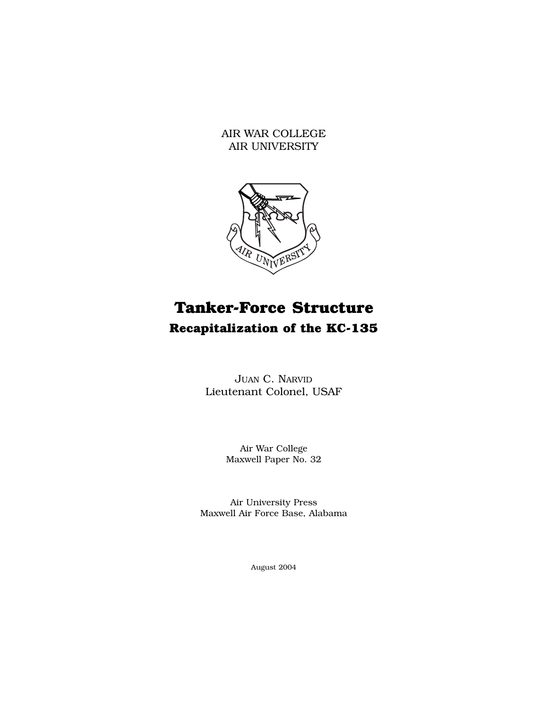AIR WAR COLLEGE AIR UNIVERSITY



# **Tanker-Force Structure Recapitalization of the KC-135**

JUAN C. NARVID Lieutenant Colonel, USAF

> Air War College Maxwell Paper No. 32

Air University Press Maxwell Air Force Base, Alabama

August 2004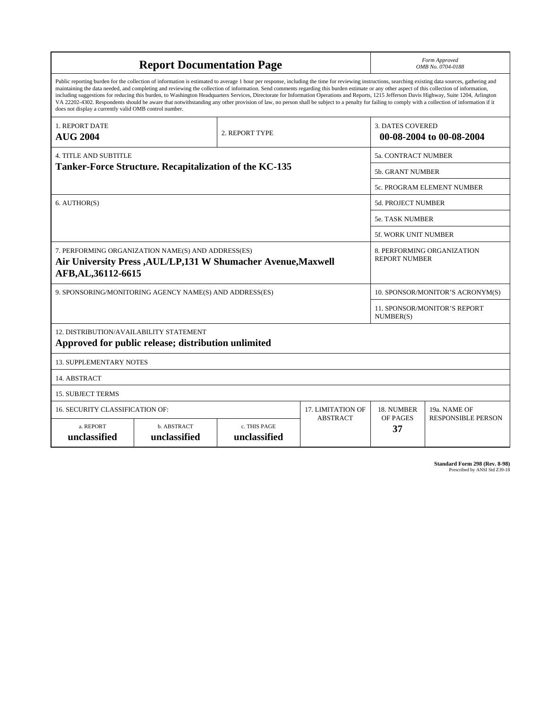| <b>Report Documentation Page</b>                                                                                                                                                                                                                                                                                                                                                                                                                                                                                                                                                                                                                                                                                                                                                                                                                                   |                             |                              |                 | Form Approved<br>OMB No. 0704-0188                  |                           |
|--------------------------------------------------------------------------------------------------------------------------------------------------------------------------------------------------------------------------------------------------------------------------------------------------------------------------------------------------------------------------------------------------------------------------------------------------------------------------------------------------------------------------------------------------------------------------------------------------------------------------------------------------------------------------------------------------------------------------------------------------------------------------------------------------------------------------------------------------------------------|-----------------------------|------------------------------|-----------------|-----------------------------------------------------|---------------------------|
| Public reporting burden for the collection of information is estimated to average 1 hour per response, including the time for reviewing instructions, searching existing data sources, gathering and<br>maintaining the data needed, and completing and reviewing the collection of information. Send comments regarding this burden estimate or any other aspect of this collection of information,<br>including suggestions for reducing this burden, to Washington Headquarters Services, Directorate for Information Operations and Reports, 1215 Jefferson Davis Highway, Suite 1204, Arlington<br>VA 22202-4302. Respondents should be aware that notwithstanding any other provision of law, no person shall be subject to a penalty for failing to comply with a collection of information if it<br>does not display a currently valid OMB control number. |                             |                              |                 |                                                     |                           |
| <b>1. REPORT DATE</b><br><b>AUG 2004</b>                                                                                                                                                                                                                                                                                                                                                                                                                                                                                                                                                                                                                                                                                                                                                                                                                           | 2. REPORT TYPE              |                              |                 | <b>3. DATES COVERED</b><br>00-08-2004 to 00-08-2004 |                           |
| <b>4. TITLE AND SUBTITLE</b>                                                                                                                                                                                                                                                                                                                                                                                                                                                                                                                                                                                                                                                                                                                                                                                                                                       |                             |                              |                 | 5a. CONTRACT NUMBER                                 |                           |
| Tanker-Force Structure. Recapitalization of the KC-135                                                                                                                                                                                                                                                                                                                                                                                                                                                                                                                                                                                                                                                                                                                                                                                                             |                             |                              |                 | <b>5b. GRANT NUMBER</b>                             |                           |
|                                                                                                                                                                                                                                                                                                                                                                                                                                                                                                                                                                                                                                                                                                                                                                                                                                                                    |                             |                              |                 | 5c. PROGRAM ELEMENT NUMBER                          |                           |
| 6. AUTHOR(S)                                                                                                                                                                                                                                                                                                                                                                                                                                                                                                                                                                                                                                                                                                                                                                                                                                                       |                             |                              |                 | <b>5d. PROJECT NUMBER</b>                           |                           |
|                                                                                                                                                                                                                                                                                                                                                                                                                                                                                                                                                                                                                                                                                                                                                                                                                                                                    |                             |                              |                 | <b>5e. TASK NUMBER</b>                              |                           |
|                                                                                                                                                                                                                                                                                                                                                                                                                                                                                                                                                                                                                                                                                                                                                                                                                                                                    |                             |                              |                 | 5f. WORK UNIT NUMBER                                |                           |
| 7. PERFORMING ORGANIZATION NAME(S) AND ADDRESS(ES)<br>Air University Press, AUL/LP, 131 W Shumacher Avenue, Maxwell<br>AFB, AL, 36112-6615                                                                                                                                                                                                                                                                                                                                                                                                                                                                                                                                                                                                                                                                                                                         |                             |                              |                 | 8. PERFORMING ORGANIZATION<br><b>REPORT NUMBER</b>  |                           |
| 9. SPONSORING/MONITORING AGENCY NAME(S) AND ADDRESS(ES)                                                                                                                                                                                                                                                                                                                                                                                                                                                                                                                                                                                                                                                                                                                                                                                                            |                             |                              |                 | 10. SPONSOR/MONITOR'S ACRONYM(S)                    |                           |
|                                                                                                                                                                                                                                                                                                                                                                                                                                                                                                                                                                                                                                                                                                                                                                                                                                                                    |                             |                              |                 | 11. SPONSOR/MONITOR'S REPORT<br>NUMBER(S)           |                           |
| 12. DISTRIBUTION/AVAILABILITY STATEMENT<br>Approved for public release; distribution unlimited                                                                                                                                                                                                                                                                                                                                                                                                                                                                                                                                                                                                                                                                                                                                                                     |                             |                              |                 |                                                     |                           |
| <b>13. SUPPLEMENTARY NOTES</b>                                                                                                                                                                                                                                                                                                                                                                                                                                                                                                                                                                                                                                                                                                                                                                                                                                     |                             |                              |                 |                                                     |                           |
| 14. ABSTRACT                                                                                                                                                                                                                                                                                                                                                                                                                                                                                                                                                                                                                                                                                                                                                                                                                                                       |                             |                              |                 |                                                     |                           |
| <b>15. SUBJECT TERMS</b>                                                                                                                                                                                                                                                                                                                                                                                                                                                                                                                                                                                                                                                                                                                                                                                                                                           |                             |                              |                 |                                                     |                           |
| 16. SECURITY CLASSIFICATION OF:<br><b>17. LIMITATION OF</b>                                                                                                                                                                                                                                                                                                                                                                                                                                                                                                                                                                                                                                                                                                                                                                                                        |                             |                              |                 | 18. NUMBER                                          | 19a. NAME OF              |
| a. REPORT<br>unclassified                                                                                                                                                                                                                                                                                                                                                                                                                                                                                                                                                                                                                                                                                                                                                                                                                                          | b. ABSTRACT<br>unclassified | c. THIS PAGE<br>unclassified | <b>ABSTRACT</b> | OF PAGES<br>37                                      | <b>RESPONSIBLE PERSON</b> |

**Standard Form 298 (Rev. 8-98)**<br>Prescribed by ANSI Std Z39-18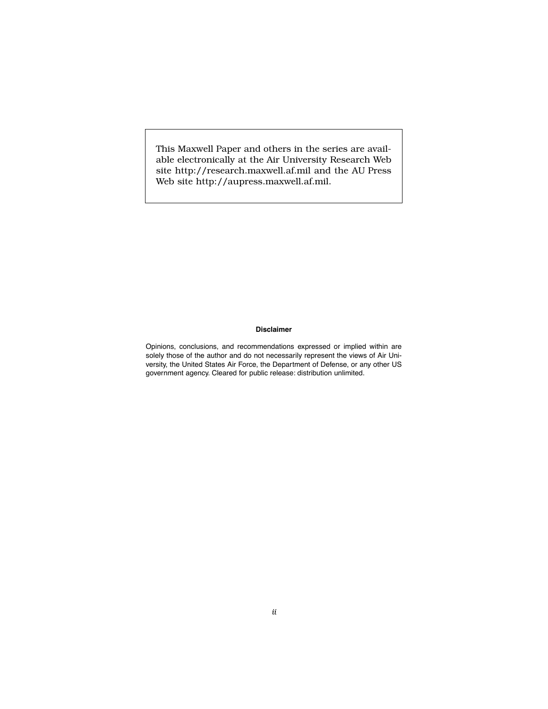This Maxwell Paper and others in the series are available electronically at the Air University Research Web site http://research.maxwell.af.mil and the AU Press Web site http://aupress.maxwell.af.mil.

#### **Disclaimer**

Opinions, conclusions, and recommendations expressed or implied within are solely those of the author and do not necessarily represent the views of Air University, the United States Air Force, the Department of Defense, or any other US government agency. Cleared for public release: distribution unlimited.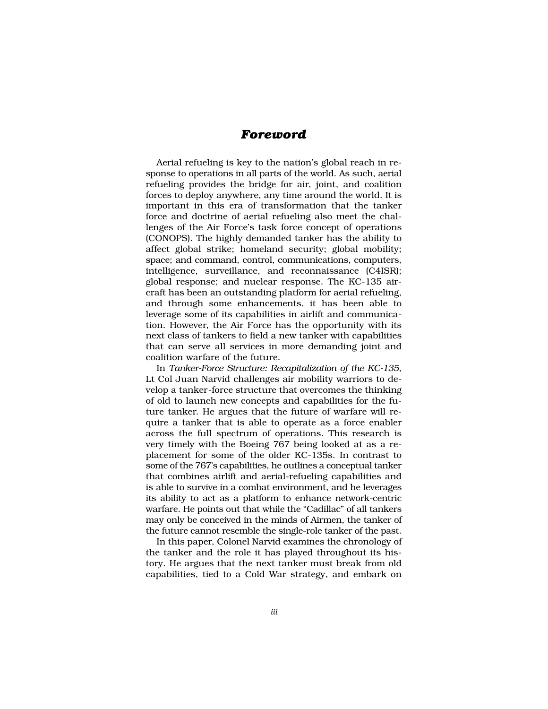## *Foreword*

Aerial refueling is key to the nation's global reach in response to operations in all parts of the world. As such, aerial refueling provides the bridge for air, joint, and coalition forces to deploy anywhere, any time around the world. It is important in this era of transformation that the tanker force and doctrine of aerial refueling also meet the challenges of the Air Force's task force concept of operations (CONOPS). The highly demanded tanker has the ability to affect global strike; homeland security; global mobility; space; and command, control, communications, computers, intelligence, surveillance, and reconnaissance (C4ISR); global response; and nuclear response. The KC-135 aircraft has been an outstanding platform for aerial refueling, and through some enhancements, it has been able to leverage some of its capabilities in airlift and communication. However, the Air Force has the opportunity with its next class of tankers to field a new tanker with capabilities that can serve all services in more demanding joint and coalition warfare of the future.

In *Tanker-Force Structure: Recapitalization of the KC-135*, Lt Col Juan Narvid challenges air mobility warriors to develop a tanker-force structure that overcomes the thinking of old to launch new concepts and capabilities for the future tanker. He argues that the future of warfare will require a tanker that is able to operate as a force enabler across the full spectrum of operations. This research is very timely with the Boeing 767 being looked at as a replacement for some of the older KC-135s. In contrast to some of the 767's capabilities, he outlines a conceptual tanker that combines airlift and aerial-refueling capabilities and is able to survive in a combat environment, and he leverages its ability to act as a platform to enhance network-centric warfare. He points out that while the "Cadillac" of all tankers may only be conceived in the minds of Airmen, the tanker of the future cannot resemble the single-role tanker of the past.

In this paper, Colonel Narvid examines the chronology of the tanker and the role it has played throughout its history. He argues that the next tanker must break from old capabilities, tied to a Cold War strategy, and embark on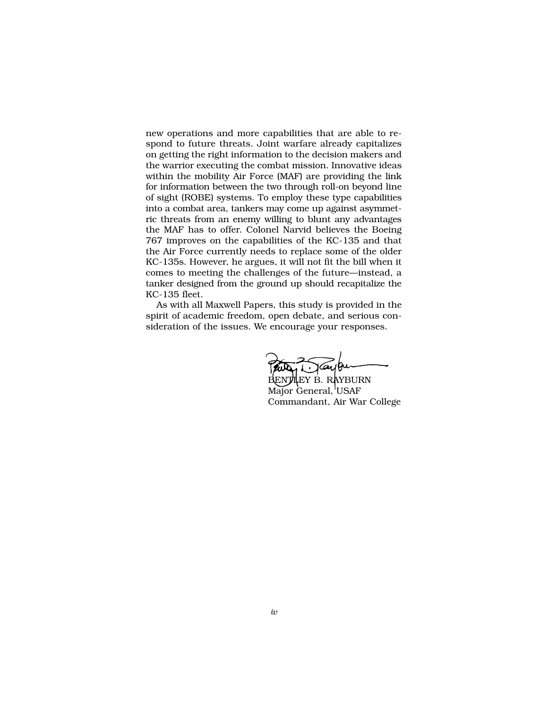new operations and more capabilities that are able to respond to future threats. Joint warfare already capitalizes on getting the right information to the decision makers and the warrior executing the combat mission. Innovative ideas within the mobility Air Force (MAF) are providing the link for information between the two through roll-on beyond line of sight (ROBE) systems. To employ these type capabilities into a combat area, tankers may come up against asymmetric threats from an enemy willing to blunt any advantages the MAF has to offer. Colonel Narvid believes the Boeing 767 improves on the capabilities of the KC-135 and that the Air Force currently needs to replace some of the older KC-135s. However, he argues, it will not fit the bill when it comes to meeting the challenges of the future—instead, a tanker designed from the ground up should recapitalize the KC-135 fleet.

As with all Maxwell Papers, this study is provided in the spirit of academic freedom, open debate, and serious consideration of the issues. We encourage your responses.

Paul Traybu

Major General, USAF Commandant, Air War College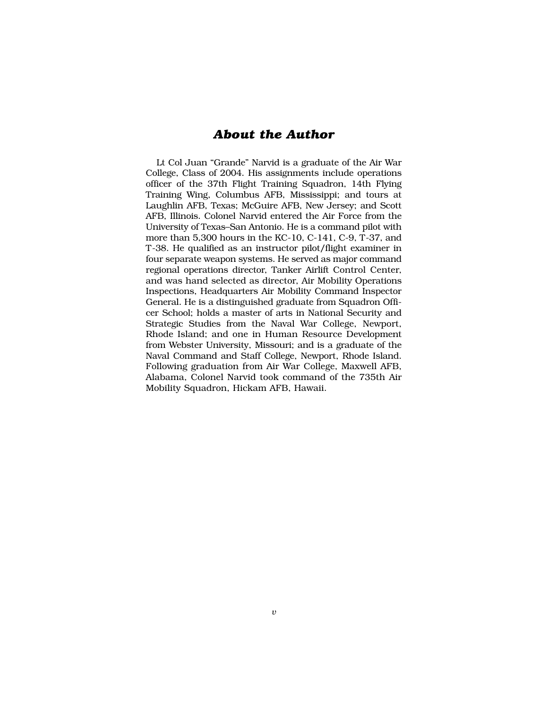## *About the Author*

Lt Col Juan "Grande" Narvid is a graduate of the Air War College, Class of 2004. His assignments include operations officer of the 37th Flight Training Squadron, 14th Flying Training Wing, Columbus AFB, Mississippi; and tours at Laughlin AFB, Texas; McGuire AFB, New Jersey; and Scott AFB, Illinois. Colonel Narvid entered the Air Force from the University of Texas–San Antonio. He is a command pilot with more than 5,300 hours in the KC-10, C-141, C-9, T-37, and T-38. He qualified as an instructor pilot/flight examiner in four separate weapon systems. He served as major command regional operations director, Tanker Airlift Control Center, and was hand selected as director, Air Mobility Operations Inspections, Headquarters Air Mobility Command Inspector General. He is a distinguished graduate from Squadron Officer School; holds a master of arts in National Security and Strategic Studies from the Naval War College, Newport, Rhode Island; and one in Human Resource Development from Webster University, Missouri; and is a graduate of the Naval Command and Staff College, Newport, Rhode Island. Following graduation from Air War College, Maxwell AFB, Alabama, Colonel Narvid took command of the 735th Air Mobility Squadron, Hickam AFB, Hawaii.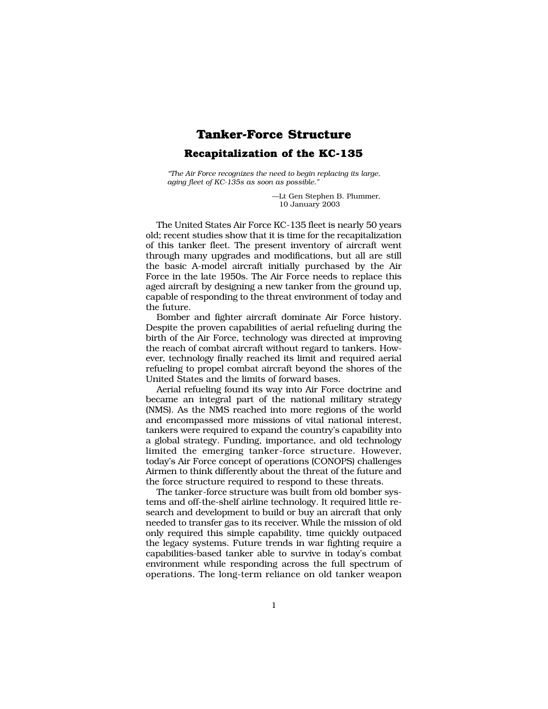## **Tanker-Force Structure Recapitalization of the KC-135**

*"The Air Force recognizes the need to begin replacing its large, aging fleet of KC-135s as soon as possible."*

> —Lt Gen Stephen B. Plummer, ––10 January 2003

The United States Air Force KC-135 fleet is nearly 50 years old; recent studies show that it is time for the recapitalization of this tanker fleet. The present inventory of aircraft went through many upgrades and modifications, but all are still the basic A-model aircraft initially purchased by the Air Force in the late 1950s. The Air Force needs to replace this aged aircraft by designing a new tanker from the ground up, capable of responding to the threat environment of today and the future.

Bomber and fighter aircraft dominate Air Force history. Despite the proven capabilities of aerial refueling during the birth of the Air Force, technology was directed at improving the reach of combat aircraft without regard to tankers. However, technology finally reached its limit and required aerial refueling to propel combat aircraft beyond the shores of the United States and the limits of forward bases.

Aerial refueling found its way into Air Force doctrine and became an integral part of the national military strategy (NMS). As the NMS reached into more regions of the world and encompassed more missions of vital national interest, tankers were required to expand the country's capability into a global strategy. Funding, importance, and old technology limited the emerging tanker-force structure. However, today's Air Force concept of operations (CONOPS) challenges Airmen to think differently about the threat of the future and the force structure required to respond to these threats.

The tanker-force structure was built from old bomber systems and off-the-shelf airline technology. It required little research and development to build or buy an aircraft that only needed to transfer gas to its receiver. While the mission of old only required this simple capability, time quickly outpaced the legacy systems. Future trends in war fighting require a capabilities-based tanker able to survive in today's combat environment while responding across the full spectrum of operations. The long-term reliance on old tanker weapon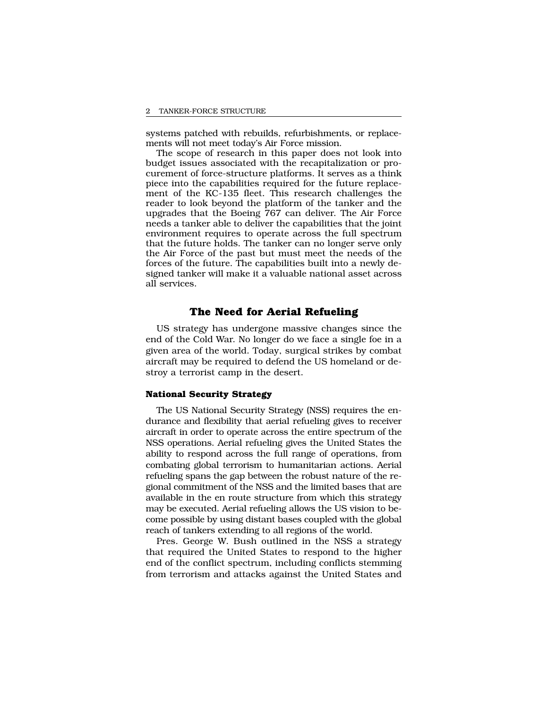systems patched with rebuilds, refurbishments, or replacements will not meet today's Air Force mission.

The scope of research in this paper does not look into budget issues associated with the recapitalization or procurement of force-structure platforms. It serves as a think piece into the capabilities required for the future replacement of the KC-135 fleet. This research challenges the reader to look beyond the platform of the tanker and the upgrades that the Boeing 767 can deliver. The Air Force needs a tanker able to deliver the capabilities that the joint environment requires to operate across the full spectrum that the future holds. The tanker can no longer serve only the Air Force of the past but must meet the needs of the forces of the future. The capabilities built into a newly designed tanker will make it a valuable national asset across all services.

## **The Need for Aerial Refueling**

US strategy has undergone massive changes since the end of the Cold War. No longer do we face a single foe in a given area of the world. Today, surgical strikes by combat aircraft may be required to defend the US homeland or destroy a terrorist camp in the desert.

## **National Security Strategy**

The US National Security Strategy (NSS) requires the endurance and flexibility that aerial refueling gives to receiver aircraft in order to operate across the entire spectrum of the NSS operations. Aerial refueling gives the United States the ability to respond across the full range of operations, from combating global terrorism to humanitarian actions. Aerial refueling spans the gap between the robust nature of the regional commitment of the NSS and the limited bases that are available in the en route structure from which this strategy may be executed. Aerial refueling allows the US vision to become possible by using distant bases coupled with the global reach of tankers extending to all regions of the world.

Pres. George W. Bush outlined in the NSS a strategy that required the United States to respond to the higher end of the conflict spectrum, including conflicts stemming from terrorism and attacks against the United States and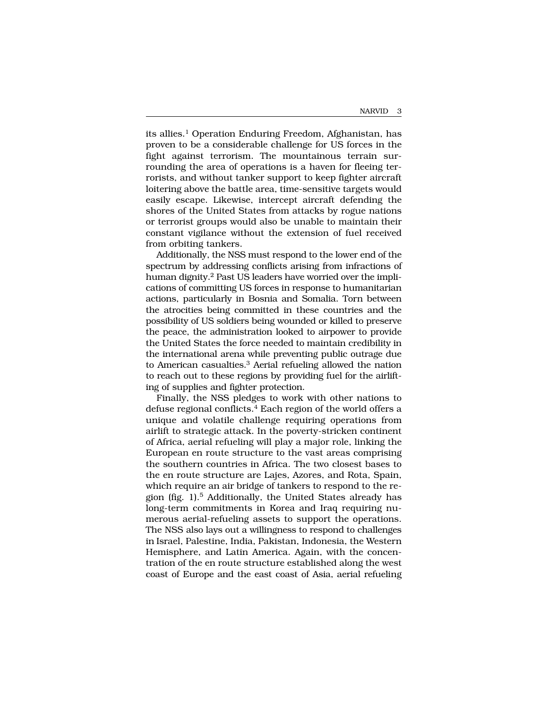its allies.<sup>1</sup> Operation Enduring Freedom, Afghanistan, has proven to be a considerable challenge for US forces in the fight against terrorism. The mountainous terrain surrounding the area of operations is a haven for fleeing terrorists, and without tanker support to keep fighter aircraft loitering above the battle area, time-sensitive targets would easily escape. Likewise, intercept aircraft defending the shores of the United States from attacks by rogue nations or terrorist groups would also be unable to maintain their constant vigilance without the extension of fuel received from orbiting tankers.

Additionally, the NSS must respond to the lower end of the spectrum by addressing conflicts arising from infractions of human dignity.2 Past US leaders have worried over the implications of committing US forces in response to humanitarian actions, particularly in Bosnia and Somalia. Torn between the atrocities being committed in these countries and the possibility of US soldiers being wounded or killed to preserve the peace, the administration looked to airpower to provide the United States the force needed to maintain credibility in the international arena while preventing public outrage due to American casualties.3 Aerial refueling allowed the nation to reach out to these regions by providing fuel for the airlifting of supplies and fighter protection.

Finally, the NSS pledges to work with other nations to defuse regional conflicts.<sup>4</sup> Each region of the world offers a unique and volatile challenge requiring operations from airlift to strategic attack. In the poverty-stricken continent of Africa, aerial refueling will play a major role, linking the European en route structure to the vast areas comprising the southern countries in Africa. The two closest bases to the en route structure are Lajes, Azores, and Rota, Spain, which require an air bridge of tankers to respond to the region (fig. 1).5 Additionally, the United States already has long-term commitments in Korea and Iraq requiring numerous aerial-refueling assets to support the operations. The NSS also lays out a willingness to respond to challenges in Israel, Palestine, India, Pakistan, Indonesia, the Western Hemisphere, and Latin America. Again, with the concentration of the en route structure established along the west coast of Europe and the east coast of Asia, aerial refueling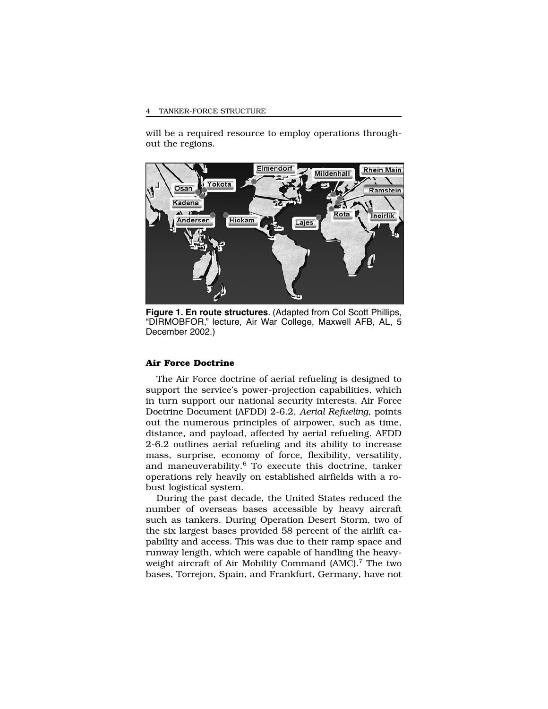#### TANKER-FORCE STRUCTURE

will be a required resource to employ operations throughout the regions.



**Figure 1. En route structures**. (Adapted from Col Scott Phillips, "DIRMOBFOR," lecture, Air War College, Maxwell AFB, AL, 5 December 2002.)

### **Air Force Doctrine**

The Air Force doctrine of aerial refueling is designed to support the service's power-projection capabilities, which in turn support our national security interests. Air Force Doctrine Document (AFDD) 2-6.2, *Aerial Refueling*, points out the numerous principles of airpower, such as time, distance, and payload, affected by aerial refueling. AFDD 2-6.2 outlines aerial refueling and its ability to increase mass, surprise, economy of force, flexibility, versatility, and maneuverability. $6$  To execute this doctrine, tanker operations rely heavily on established airfields with a robust logistical system.

During the past decade, the United States reduced the number of overseas bases accessible by heavy aircraft such as tankers. During Operation Desert Storm, two of the six largest bases provided 58 percent of the airlift capability and access. This was due to their ramp space and runway length, which were capable of handling the heavyweight aircraft of Air Mobility Command (AMC).<sup>7</sup> The two bases, Torrejon, Spain, and Frankfurt, Germany, have not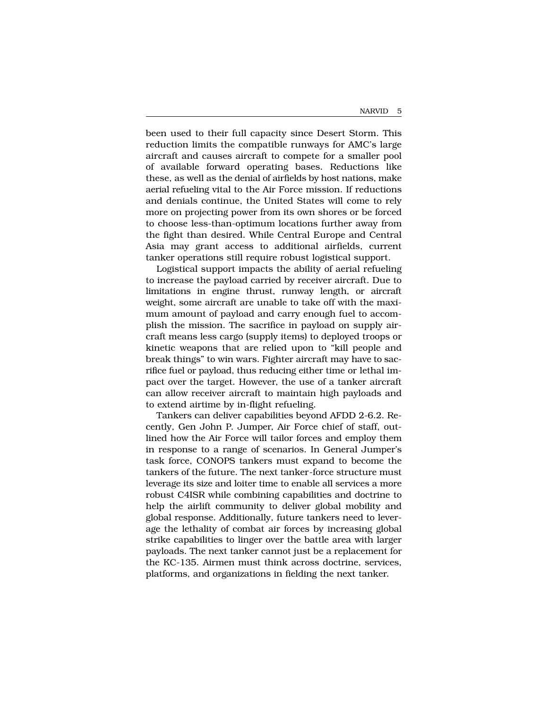been used to their full capacity since Desert Storm. This reduction limits the compatible runways for AMC's large aircraft and causes aircraft to compete for a smaller pool of available forward operating bases. Reductions like these, as well as the denial of airfields by host nations, make aerial refueling vital to the Air Force mission. If reductions and denials continue, the United States will come to rely more on projecting power from its own shores or be forced to choose less-than-optimum locations further away from the fight than desired. While Central Europe and Central Asia may grant access to additional airfields, current tanker operations still require robust logistical support.

Logistical support impacts the ability of aerial refueling to increase the payload carried by receiver aircraft. Due to limitations in engine thrust, runway length, or aircraft weight, some aircraft are unable to take off with the maximum amount of payload and carry enough fuel to accomplish the mission. The sacrifice in payload on supply aircraft means less cargo (supply items) to deployed troops or kinetic weapons that are relied upon to "kill people and break things" to win wars. Fighter aircraft may have to sacrifice fuel or payload, thus reducing either time or lethal impact over the target. However, the use of a tanker aircraft can allow receiver aircraft to maintain high payloads and to extend airtime by in-flight refueling.

Tankers can deliver capabilities beyond AFDD 2-6.2. Recently, Gen John P. Jumper, Air Force chief of staff, outlined how the Air Force will tailor forces and employ them in response to a range of scenarios. In General Jumper's task force, CONOPS tankers must expand to become the tankers of the future. The next tanker-force structure must leverage its size and loiter time to enable all services a more robust C4ISR while combining capabilities and doctrine to help the airlift community to deliver global mobility and global response. Additionally, future tankers need to leverage the lethality of combat air forces by increasing global strike capabilities to linger over the battle area with larger payloads. The next tanker cannot just be a replacement for the KC-135. Airmen must think across doctrine, services, platforms, and organizations in fielding the next tanker.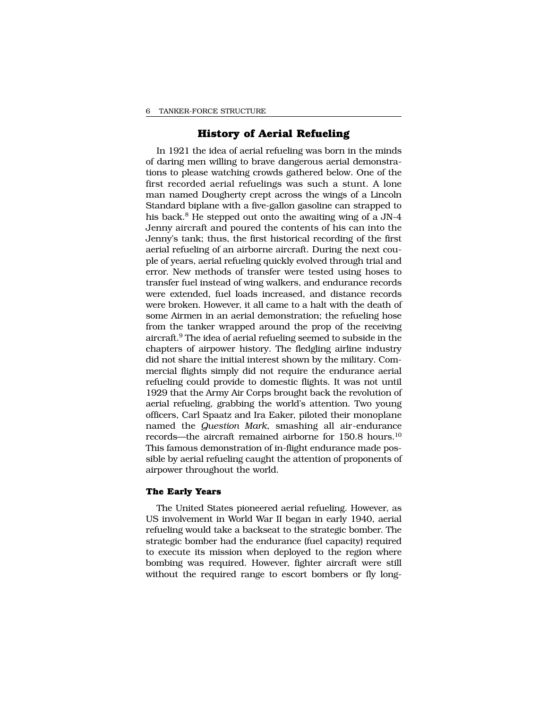## **History of Aerial Refueling**

In 1921 the idea of aerial refueling was born in the minds of daring men willing to brave dangerous aerial demonstrations to please watching crowds gathered below. One of the first recorded aerial refuelings was such a stunt. A lone man named Dougherty crept across the wings of a Lincoln Standard biplane with a five-gallon gasoline can strapped to his back.<sup>8</sup> He stepped out onto the awaiting wing of a JN-4 Jenny aircraft and poured the contents of his can into the Jenny's tank; thus, the first historical recording of the first aerial refueling of an airborne aircraft. During the next couple of years, aerial refueling quickly evolved through trial and error. New methods of transfer were tested using hoses to transfer fuel instead of wing walkers, and endurance records were extended, fuel loads increased, and distance records were broken. However, it all came to a halt with the death of some Airmen in an aerial demonstration; the refueling hose from the tanker wrapped around the prop of the receiving aircraft.9 The idea of aerial refueling seemed to subside in the chapters of airpower history. The fledgling airline industry did not share the initial interest shown by the military. Commercial flights simply did not require the endurance aerial refueling could provide to domestic flights. It was not until 1929 that the Army Air Corps brought back the revolution of aerial refueling, grabbing the world's attention. Two young officers, Carl Spaatz and Ira Eaker, piloted their monoplane named the *Question Mark*, smashing all air-endurance records—the aircraft remained airborne for 150.8 hours.10 This famous demonstration of in-flight endurance made possible by aerial refueling caught the attention of proponents of airpower throughout the world.

## **The Early Years**

The United States pioneered aerial refueling. However, as US involvement in World War II began in early 1940, aerial refueling would take a backseat to the strategic bomber. The strategic bomber had the endurance (fuel capacity) required to execute its mission when deployed to the region where bombing was required. However, fighter aircraft were still without the required range to escort bombers or fly long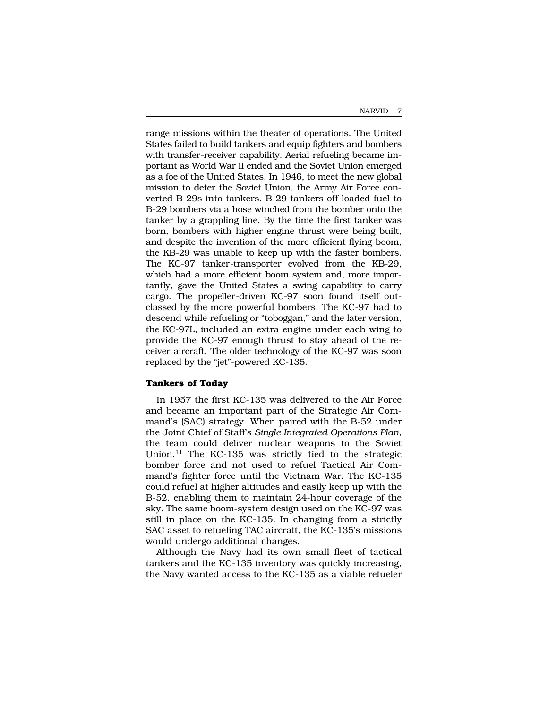range missions within the theater of operations. The United States failed to build tankers and equip fighters and bombers with transfer-receiver capability. Aerial refueling became important as World War II ended and the Soviet Union emerged as a foe of the United States. In 1946, to meet the new global mission to deter the Soviet Union, the Army Air Force converted B-29s into tankers. B-29 tankers off-loaded fuel to B-29 bombers via a hose winched from the bomber onto the tanker by a grappling line. By the time the first tanker was born, bombers with higher engine thrust were being built, and despite the invention of the more efficient flying boom, the KB-29 was unable to keep up with the faster bombers. The KC-97 tanker-transporter evolved from the KB-29, which had a more efficient boom system and, more importantly, gave the United States a swing capability to carry cargo. The propeller-driven KC-97 soon found itself outclassed by the more powerful bombers. The KC-97 had to descend while refueling or "toboggan," and the later version, the KC-97L, included an extra engine under each wing to provide the KC-97 enough thrust to stay ahead of the receiver aircraft. The older technology of the KC-97 was soon replaced by the "jet"-powered KC-135.

## **Tankers of Today**

In 1957 the first KC-135 was delivered to the Air Force and became an important part of the Strategic Air Command's (SAC) strategy. When paired with the B-52 under the Joint Chief of Staff's *Single Integrated Operations Plan*, the team could deliver nuclear weapons to the Soviet Union.11 The KC-135 was strictly tied to the strategic bomber force and not used to refuel Tactical Air Command's fighter force until the Vietnam War. The KC-135 could refuel at higher altitudes and easily keep up with the B-52, enabling them to maintain 24-hour coverage of the sky. The same boom-system design used on the KC-97 was still in place on the KC-135. In changing from a strictly SAC asset to refueling TAC aircraft, the KC-135's missions would undergo additional changes.

Although the Navy had its own small fleet of tactical tankers and the KC-135 inventory was quickly increasing, the Navy wanted access to the KC-135 as a viable refueler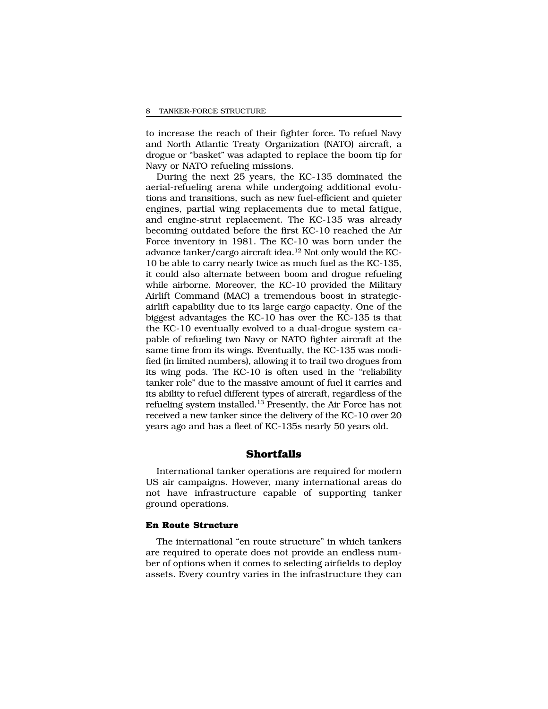to increase the reach of their fighter force. To refuel Navy and North Atlantic Treaty Organization (NATO) aircraft, a drogue or "basket" was adapted to replace the boom tip for Navy or NATO refueling missions.

During the next 25 years, the KC-135 dominated the aerial-refueling arena while undergoing additional evolutions and transitions, such as new fuel-efficient and quieter engines, partial wing replacements due to metal fatigue, and engine-strut replacement. The KC-135 was already becoming outdated before the first KC-10 reached the Air Force inventory in 1981. The KC-10 was born under the advance tanker/cargo aircraft idea.<sup>12</sup> Not only would the KC-10 be able to carry nearly twice as much fuel as the KC-135, it could also alternate between boom and drogue refueling while airborne. Moreover, the KC-10 provided the Military Airlift Command (MAC) a tremendous boost in strategicairlift capability due to its large cargo capacity. One of the biggest advantages the KC-10 has over the KC-135 is that the KC-10 eventually evolved to a dual-drogue system capable of refueling two Navy or NATO fighter aircraft at the same time from its wings. Eventually, the KC-135 was modified (in limited numbers), allowing it to trail two drogues from its wing pods. The KC-10 is often used in the "reliability tanker role" due to the massive amount of fuel it carries and its ability to refuel different types of aircraft, regardless of the refueling system installed.13 Presently, the Air Force has not received a new tanker since the delivery of the KC-10 over 20 years ago and has a fleet of KC-135s nearly 50 years old.

## **Shortfalls**

International tanker operations are required for modern US air campaigns. However, many international areas do not have infrastructure capable of supporting tanker ground operations.

#### **En Route Structure**

The international "en route structure" in which tankers are required to operate does not provide an endless number of options when it comes to selecting airfields to deploy assets. Every country varies in the infrastructure they can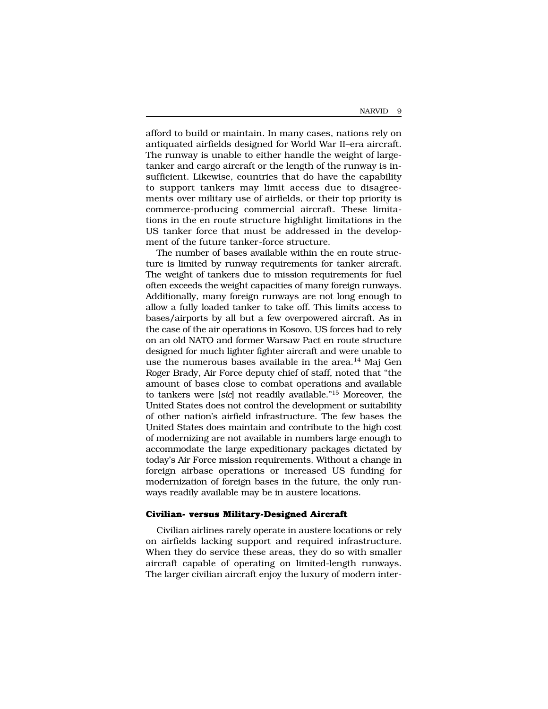afford to build or maintain. In many cases, nations rely on antiquated airfields designed for World War II–era aircraft. The runway is unable to either handle the weight of largetanker and cargo aircraft or the length of the runway is insufficient. Likewise, countries that do have the capability to support tankers may limit access due to disagreements over military use of airfields, or their top priority is commerce-producing commercial aircraft. These limitations in the en route structure highlight limitations in the US tanker force that must be addressed in the development of the future tanker-force structure.

The number of bases available within the en route structure is limited by runway requirements for tanker aircraft. The weight of tankers due to mission requirements for fuel often exceeds the weight capacities of many foreign runways. Additionally, many foreign runways are not long enough to allow a fully loaded tanker to take off. This limits access to bases/airports by all but a few overpowered aircraft. As in the case of the air operations in Kosovo, US forces had to rely on an old NATO and former Warsaw Pact en route structure designed for much lighter fighter aircraft and were unable to use the numerous bases available in the area.<sup>14</sup> Maj Gen Roger Brady, Air Force deputy chief of staff, noted that "the amount of bases close to combat operations and available to tankers were [*sic*] not readily available."15 Moreover, the United States does not control the development or suitability of other nation's airfield infrastructure. The few bases the United States does maintain and contribute to the high cost of modernizing are not available in numbers large enough to accommodate the large expeditionary packages dictated by today's Air Force mission requirements. Without a change in foreign airbase operations or increased US funding for modernization of foreign bases in the future, the only runways readily available may be in austere locations.

#### **Civilian- versus Military-Designed Aircraft**

Civilian airlines rarely operate in austere locations or rely on airfields lacking support and required infrastructure. When they do service these areas, they do so with smaller aircraft capable of operating on limited-length runways. The larger civilian aircraft enjoy the luxury of modern inter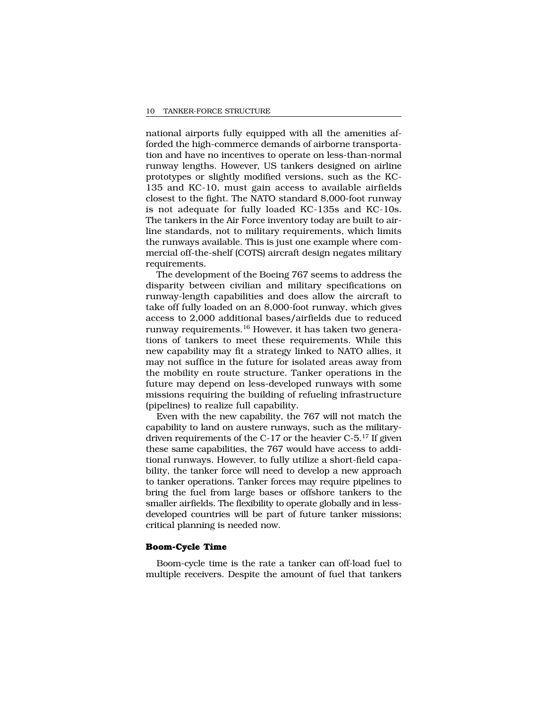national airports fully equipped with all the amenities afforded the high-commerce demands of airborne transportation and have no incentives to operate on less-than-normal runway lengths. However, US tankers designed on airline prototypes or slightly modified versions, such as the KC-135 and KC-10, must gain access to available airfields closest to the fight. The NATO standard 8,000-foot runway is not adequate for fully loaded KC-135s and KC-10s. The tankers in the Air Force inventory today are built to airline standards, not to military requirements, which limits the runways available. This is just one example where commercial off-the-shelf (COTS) aircraft design negates military requirements.

The development of the Boeing 767 seems to address the disparity between civilian and military specifications on runway-length capabilities and does allow the aircraft to take off fully loaded on an 8,000-foot runway, which gives access to 2,000 additional bases/airfields due to reduced runway requirements.<sup>16</sup> However, it has taken two generations of tankers to meet these requirements. While this new capability may fit a strategy linked to NATO allies, it may not suffice in the future for isolated areas away from the mobility en route structure. Tanker operations in the future may depend on less-developed runways with some missions requiring the building of refueling infrastructure (pipelines) to realize full capability.

Even with the new capability, the 767 will not match the capability to land on austere runways, such as the militarydriven requirements of the C-17 or the heavier C-5.17 If given these same capabilities, the 767 would have access to additional runways. However, to fully utilize a short-field capability, the tanker force will need to develop a new approach to tanker operations. Tanker forces may require pipelines to bring the fuel from large bases or offshore tankers to the smaller airfields. The flexibility to operate globally and in lessdeveloped countries will be part of future tanker missions; critical planning is needed now.

## **Boom-Cycle Time**

Boom-cycle time is the rate a tanker can off-load fuel to multiple receivers. Despite the amount of fuel that tankers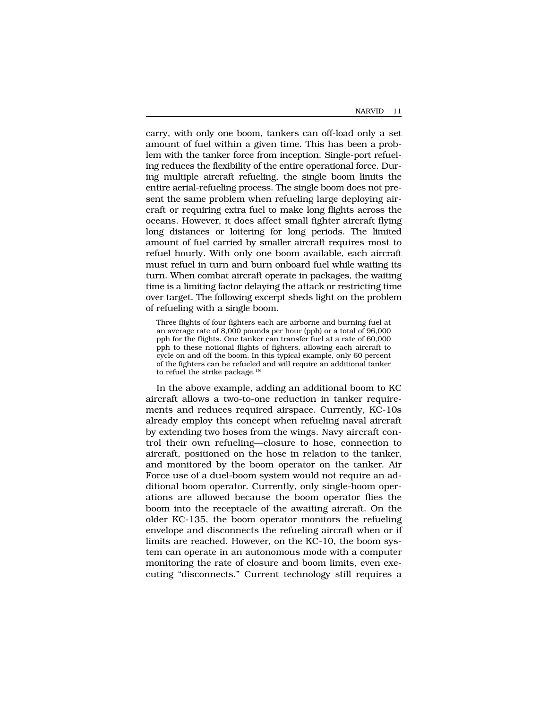carry, with only one boom, tankers can off-load only a set amount of fuel within a given time. This has been a problem with the tanker force from inception. Single-port refueling reduces the flexibility of the entire operational force. During multiple aircraft refueling, the single boom limits the entire aerial-refueling process. The single boom does not present the same problem when refueling large deploying aircraft or requiring extra fuel to make long flights across the oceans. However, it does affect small fighter aircraft flying long distances or loitering for long periods. The limited amount of fuel carried by smaller aircraft requires most to refuel hourly. With only one boom available, each aircraft must refuel in turn and burn onboard fuel while waiting its turn. When combat aircraft operate in packages, the waiting time is a limiting factor delaying the attack or restricting time over target. The following excerpt sheds light on the problem of refueling with a single boom.

Three flights of four fighters each are airborne and burning fuel at an average rate of 8,000 pounds per hour (pph) or a total of 96,000 pph for the flights. One tanker can transfer fuel at a rate of 60,000 pph to these notional flights of fighters, allowing each aircraft to cycle on and off the boom. In this typical example, only 60 percent of the fighters can be refueled and will require an additional tanker to refuel the strike package.18

In the above example, adding an additional boom to KC aircraft allows a two-to-one reduction in tanker requirements and reduces required airspace. Currently, KC-10s already employ this concept when refueling naval aircraft by extending two hoses from the wings. Navy aircraft control their own refueling—closure to hose, connection to aircraft, positioned on the hose in relation to the tanker, and monitored by the boom operator on the tanker. Air Force use of a duel-boom system would not require an additional boom operator. Currently, only single-boom operations are allowed because the boom operator flies the boom into the receptacle of the awaiting aircraft. On the older KC-135, the boom operator monitors the refueling envelope and disconnects the refueling aircraft when or if limits are reached. However, on the KC-10, the boom system can operate in an autonomous mode with a computer monitoring the rate of closure and boom limits, even executing "disconnects." Current technology still requires a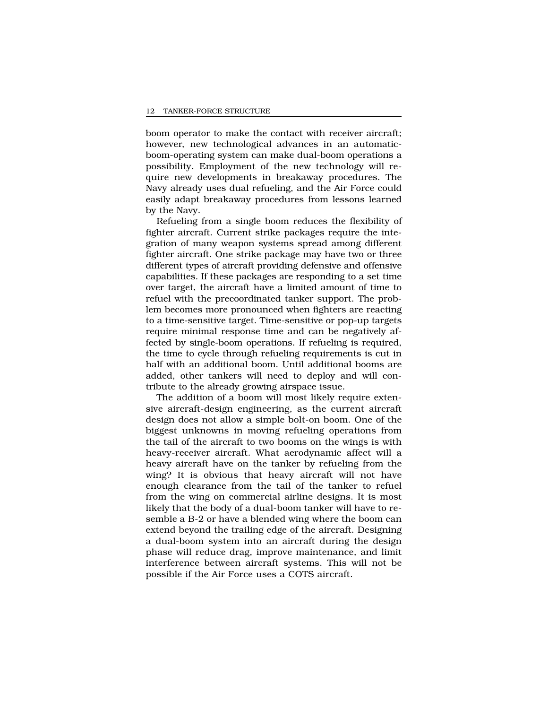boom operator to make the contact with receiver aircraft; however, new technological advances in an automaticboom-operating system can make dual-boom operations a possibility. Employment of the new technology will require new developments in breakaway procedures. The Navy already uses dual refueling, and the Air Force could easily adapt breakaway procedures from lessons learned by the Navy.

Refueling from a single boom reduces the flexibility of fighter aircraft. Current strike packages require the integration of many weapon systems spread among different fighter aircraft. One strike package may have two or three different types of aircraft providing defensive and offensive capabilities. If these packages are responding to a set time over target, the aircraft have a limited amount of time to refuel with the precoordinated tanker support. The problem becomes more pronounced when fighters are reacting to a time-sensitive target. Time-sensitive or pop-up targets require minimal response time and can be negatively affected by single-boom operations. If refueling is required, the time to cycle through refueling requirements is cut in half with an additional boom. Until additional booms are added, other tankers will need to deploy and will contribute to the already growing airspace issue.

The addition of a boom will most likely require extensive aircraft-design engineering, as the current aircraft design does not allow a simple bolt-on boom. One of the biggest unknowns in moving refueling operations from the tail of the aircraft to two booms on the wings is with heavy-receiver aircraft. What aerodynamic affect will a heavy aircraft have on the tanker by refueling from the wing? It is obvious that heavy aircraft will not have enough clearance from the tail of the tanker to refuel from the wing on commercial airline designs. It is most likely that the body of a dual-boom tanker will have to resemble a B-2 or have a blended wing where the boom can extend beyond the trailing edge of the aircraft. Designing a dual-boom system into an aircraft during the design phase will reduce drag, improve maintenance, and limit interference between aircraft systems. This will not be possible if the Air Force uses a COTS aircraft.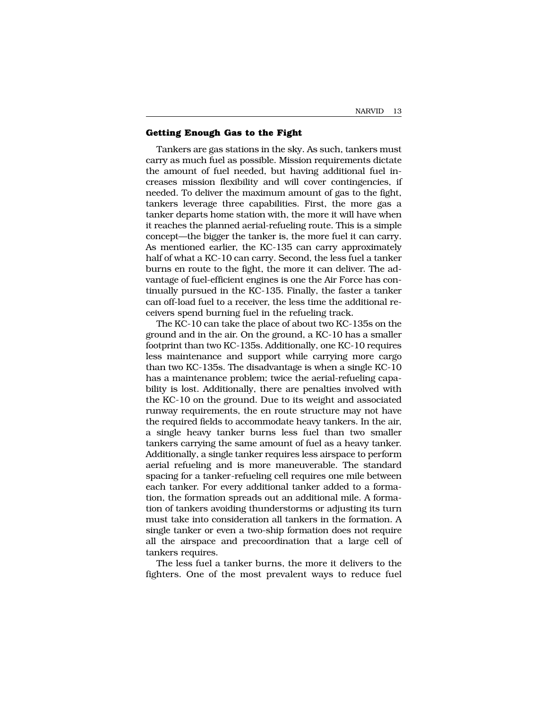#### **Getting Enough Gas to the Fight**

Tankers are gas stations in the sky. As such, tankers must carry as much fuel as possible. Mission requirements dictate the amount of fuel needed, but having additional fuel increases mission flexibility and will cover contingencies, if needed. To deliver the maximum amount of gas to the fight, tankers leverage three capabilities. First, the more gas a tanker departs home station with, the more it will have when it reaches the planned aerial-refueling route. This is a simple concept—the bigger the tanker is, the more fuel it can carry. As mentioned earlier, the KC-135 can carry approximately half of what a KC-10 can carry. Second, the less fuel a tanker burns en route to the fight, the more it can deliver. The advantage of fuel-efficient engines is one the Air Force has continually pursued in the KC-135. Finally, the faster a tanker can off-load fuel to a receiver, the less time the additional receivers spend burning fuel in the refueling track.

The KC-10 can take the place of about two KC-135s on the ground and in the air. On the ground, a KC-10 has a smaller footprint than two KC-135s. Additionally, one KC-10 requires less maintenance and support while carrying more cargo than two KC-135s. The disadvantage is when a single KC-10 has a maintenance problem; twice the aerial-refueling capability is lost. Additionally, there are penalties involved with the KC-10 on the ground. Due to its weight and associated runway requirements, the en route structure may not have the required fields to accommodate heavy tankers. In the air, a single heavy tanker burns less fuel than two smaller tankers carrying the same amount of fuel as a heavy tanker. Additionally, a single tanker requires less airspace to perform aerial refueling and is more maneuverable. The standard spacing for a tanker-refueling cell requires one mile between each tanker. For every additional tanker added to a formation, the formation spreads out an additional mile. A formation of tankers avoiding thunderstorms or adjusting its turn must take into consideration all tankers in the formation. A single tanker or even a two-ship formation does not require all the airspace and precoordination that a large cell of tankers requires.

The less fuel a tanker burns, the more it delivers to the fighters. One of the most prevalent ways to reduce fuel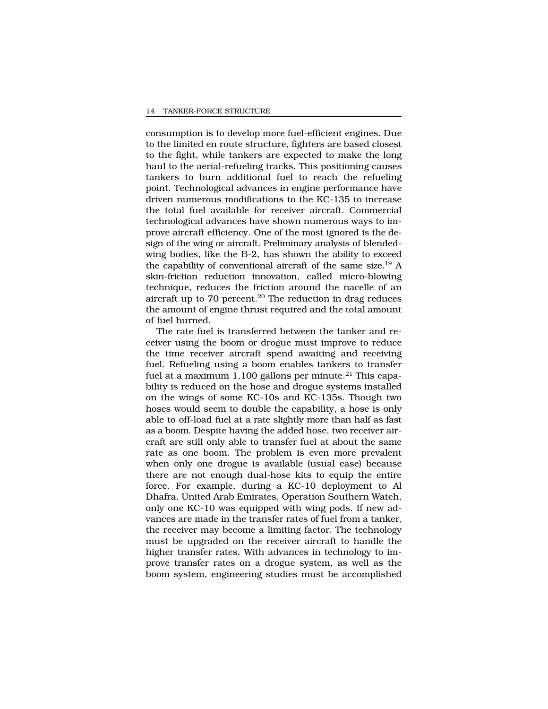consumption is to develop more fuel-efficient engines. Due to the limited en route structure, fighters are based closest to the fight, while tankers are expected to make the long haul to the aerial-refueling tracks. This positioning causes tankers to burn additional fuel to reach the refueling point. Technological advances in engine performance have driven numerous modifications to the KC-135 to increase the total fuel available for receiver aircraft. Commercial technological advances have shown numerous ways to improve aircraft efficiency. One of the most ignored is the design of the wing or aircraft. Preliminary analysis of blendedwing bodies, like the B-2, has shown the ability to exceed the capability of conventional aircraft of the same size.19 A skin-friction reduction innovation, called micro-blowing technique, reduces the friction around the nacelle of an aircraft up to  $70$  percent.<sup>20</sup> The reduction in drag reduces the amount of engine thrust required and the total amount of fuel burned.

The rate fuel is transferred between the tanker and receiver using the boom or drogue must improve to reduce the time receiver aircraft spend awaiting and receiving fuel. Refueling using a boom enables tankers to transfer fuel at a maximum 1,100 gallons per minute.<sup>21</sup> This capability is reduced on the hose and drogue systems installed on the wings of some KC-10s and KC-135s. Though two hoses would seem to double the capability, a hose is only able to off-load fuel at a rate slightly more than half as fast as a boom. Despite having the added hose, two receiver aircraft are still only able to transfer fuel at about the same rate as one boom. The problem is even more prevalent when only one drogue is available (usual case) because there are not enough dual-hose kits to equip the entire force. For example, during a KC-10 deployment to Al Dhafra, United Arab Emirates, Operation Southern Watch, only one KC-10 was equipped with wing pods. If new advances are made in the transfer rates of fuel from a tanker, the receiver may become a limiting factor. The technology must be upgraded on the receiver aircraft to handle the higher transfer rates. With advances in technology to improve transfer rates on a drogue system, as well as the boom system, engineering studies must be accomplished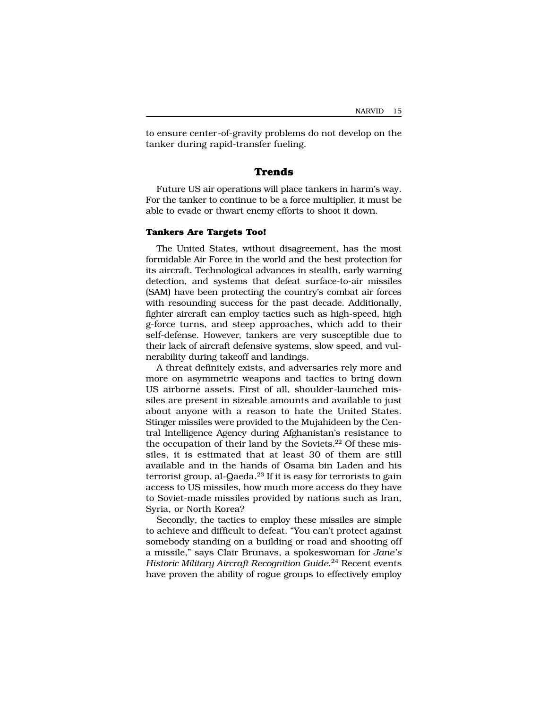to ensure center-of-gravity problems do not develop on the tanker during rapid-transfer fueling.

### **Trends**

Future US air operations will place tankers in harm's way. For the tanker to continue to be a force multiplier, it must be able to evade or thwart enemy efforts to shoot it down.

#### **Tankers Are Targets Too!**

The United States, without disagreement, has the most formidable Air Force in the world and the best protection for its aircraft. Technological advances in stealth, early warning detection, and systems that defeat surface-to-air missiles (SAM) have been protecting the country's combat air forces with resounding success for the past decade. Additionally, fighter aircraft can employ tactics such as high-speed, high g-force turns, and steep approaches, which add to their self-defense. However, tankers are very susceptible due to their lack of aircraft defensive systems, slow speed, and vulnerability during takeoff and landings.

A threat definitely exists, and adversaries rely more and more on asymmetric weapons and tactics to bring down US airborne assets. First of all, shoulder-launched missiles are present in sizeable amounts and available to just about anyone with a reason to hate the United States. Stinger missiles were provided to the Mujahideen by the Central Intelligence Agency during Afghanistan's resistance to the occupation of their land by the Soviets.<sup>22</sup> Of these missiles, it is estimated that at least 30 of them are still available and in the hands of Osama bin Laden and his terrorist group, al-Qaeda.23 If it is easy for terrorists to gain access to US missiles, how much more access do they have to Soviet-made missiles provided by nations such as Iran, Syria, or North Korea?

Secondly, the tactics to employ these missiles are simple to achieve and difficult to defeat. "You can't protect against somebody standing on a building or road and shooting off a missile," says Clair Brunavs, a spokeswoman for *Jane's Historic Military Aircraft Recognition Guide*. <sup>24</sup> Recent events have proven the ability of rogue groups to effectively employ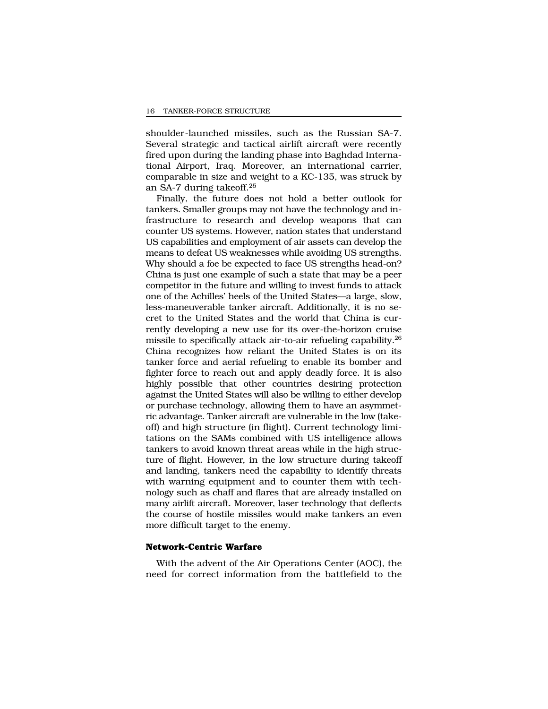shoulder-launched missiles, such as the Russian SA-7. Several strategic and tactical airlift aircraft were recently fired upon during the landing phase into Baghdad International Airport, Iraq. Moreover, an international carrier, comparable in size and weight to a KC-135, was struck by an SA-7 during takeoff.25

Finally, the future does not hold a better outlook for tankers. Smaller groups may not have the technology and infrastructure to research and develop weapons that can counter US systems. However, nation states that understand US capabilities and employment of air assets can develop the means to defeat US weaknesses while avoiding US strengths. Why should a foe be expected to face US strengths head-on? China is just one example of such a state that may be a peer competitor in the future and willing to invest funds to attack one of the Achilles' heels of the United States—a large, slow, less-maneuverable tanker aircraft. Additionally, it is no secret to the United States and the world that China is currently developing a new use for its over-the-horizon cruise missile to specifically attack air-to-air refueling capability.26 China recognizes how reliant the United States is on its tanker force and aerial refueling to enable its bomber and fighter force to reach out and apply deadly force. It is also highly possible that other countries desiring protection against the United States will also be willing to either develop or purchase technology, allowing them to have an asymmetric advantage. Tanker aircraft are vulnerable in the low (takeoff) and high structure (in flight). Current technology limitations on the SAMs combined with US intelligence allows tankers to avoid known threat areas while in the high structure of flight. However, in the low structure during takeoff and landing, tankers need the capability to identify threats with warning equipment and to counter them with technology such as chaff and flares that are already installed on many airlift aircraft. Moreover, laser technology that deflects the course of hostile missiles would make tankers an even more difficult target to the enemy.

## **Network-Centric Warfare**

With the advent of the Air Operations Center (AOC), the need for correct information from the battlefield to the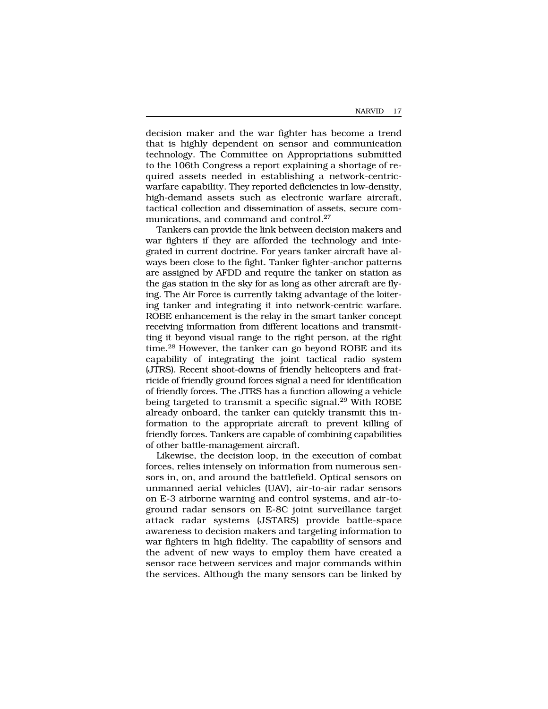decision maker and the war fighter has become a trend that is highly dependent on sensor and communication technology. The Committee on Appropriations submitted to the 106th Congress a report explaining a shortage of required assets needed in establishing a network-centricwarfare capability. They reported deficiencies in low-density, high-demand assets such as electronic warfare aircraft, tactical collection and dissemination of assets, secure communications, and command and control.<sup>27</sup>

Tankers can provide the link between decision makers and war fighters if they are afforded the technology and integrated in current doctrine. For years tanker aircraft have always been close to the fight. Tanker fighter-anchor patterns are assigned by AFDD and require the tanker on station as the gas station in the sky for as long as other aircraft are flying. The Air Force is currently taking advantage of the loitering tanker and integrating it into network-centric warfare. ROBE enhancement is the relay in the smart tanker concept receiving information from different locations and transmitting it beyond visual range to the right person, at the right time.28 However, the tanker can go beyond ROBE and its capability of integrating the joint tactical radio system (JTRS). Recent shoot-downs of friendly helicopters and fratricide of friendly ground forces signal a need for identification of friendly forces. The JTRS has a function allowing a vehicle being targeted to transmit a specific signal.<sup>29</sup> With ROBE already onboard, the tanker can quickly transmit this information to the appropriate aircraft to prevent killing of friendly forces. Tankers are capable of combining capabilities of other battle-management aircraft.

Likewise, the decision loop, in the execution of combat forces, relies intensely on information from numerous sensors in, on, and around the battlefield. Optical sensors on unmanned aerial vehicles (UAV), air-to-air radar sensors on E-3 airborne warning and control systems, and air-toground radar sensors on E-8C joint surveillance target attack radar systems (JSTARS) provide battle-space awareness to decision makers and targeting information to war fighters in high fidelity. The capability of sensors and the advent of new ways to employ them have created a sensor race between services and major commands within the services. Although the many sensors can be linked by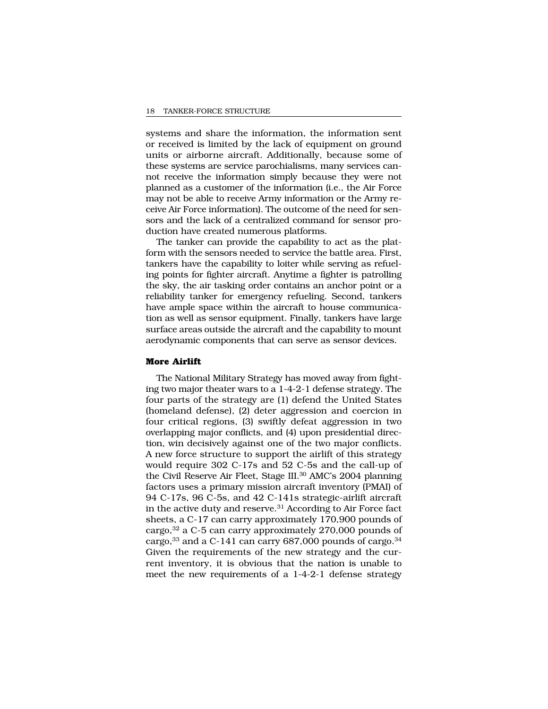systems and share the information, the information sent or received is limited by the lack of equipment on ground units or airborne aircraft. Additionally, because some of these systems are service parochialisms, many services cannot receive the information simply because they were not planned as a customer of the information (i.e., the Air Force may not be able to receive Army information or the Army receive Air Force information). The outcome of the need for sensors and the lack of a centralized command for sensor production have created numerous platforms.

The tanker can provide the capability to act as the platform with the sensors needed to service the battle area. First, tankers have the capability to loiter while serving as refueling points for fighter aircraft. Anytime a fighter is patrolling the sky, the air tasking order contains an anchor point or a reliability tanker for emergency refueling. Second, tankers have ample space within the aircraft to house communication as well as sensor equipment. Finally, tankers have large surface areas outside the aircraft and the capability to mount aerodynamic components that can serve as sensor devices.

#### **More Airlift**

The National Military Strategy has moved away from fighting two major theater wars to a 1-4-2-1 defense strategy. The four parts of the strategy are (1) defend the United States (homeland defense), (2) deter aggression and coercion in four critical regions, (3) swiftly defeat aggression in two overlapping major conflicts, and (4) upon presidential direction, win decisively against one of the two major conflicts. A new force structure to support the airlift of this strategy would require 302 C-17s and 52 C-5s and the call-up of the Civil Reserve Air Fleet, Stage III.<sup>30</sup> AMC's 2004 planning factors uses a primary mission aircraft inventory (PMAI) of 94 C-17s, 96 C-5s, and 42 C-141s strategic-airlift aircraft in the active duty and reserve. $31$  According to Air Force fact sheets, a C-17 can carry approximately 170,900 pounds of cargo,32 a C-5 can carry approximately 270,000 pounds of cargo, $33$  and a C-141 can carry 687,000 pounds of cargo. $34$ Given the requirements of the new strategy and the current inventory, it is obvious that the nation is unable to meet the new requirements of a 1-4-2-1 defense strategy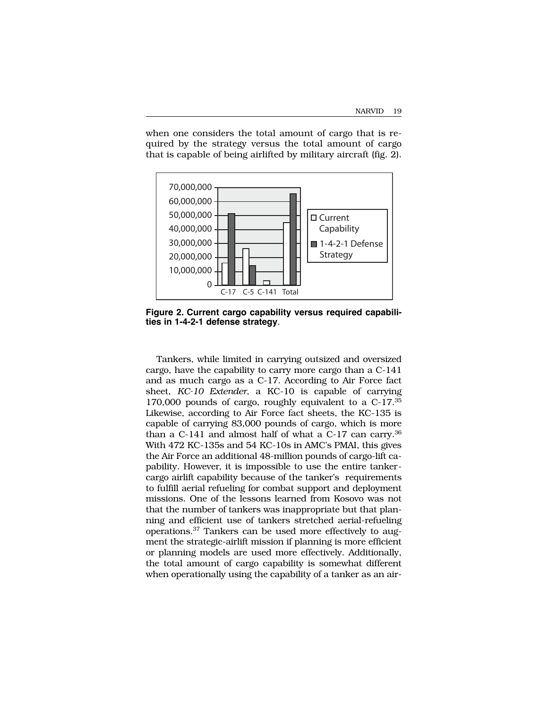when one considers the total amount of cargo that is required by the strategy versus the total amount of cargo that is capable of being airlifted by military aircraft (fig. 2).



**Figure 2. Current cargo capability versus required capabilities in 1-4-2-1 defense strategy**.

Tankers, while limited in carrying outsized and oversized cargo, have the capability to carry more cargo than a C-141 and as much cargo as a C-17. According to Air Force fact sheet, *KC-10 Extender*, a KC-10 is capable of carrying 170,000 pounds of cargo, roughly equivalent to a C-17.35 Likewise, according to Air Force fact sheets, the KC-135 is capable of carrying 83,000 pounds of cargo, which is more than a  $C-141$  and almost half of what a  $C-17$  can carry.<sup>36</sup> With 472 KC-135s and 54 KC-10s in AMC's PMAI, this gives the Air Force an additional 48-million pounds of cargo-lift capability. However, it is impossible to use the entire tankercargo airlift capability because of the tanker's requirements to fulfill aerial refueling for combat support and deployment missions. One of the lessons learned from Kosovo was not that the number of tankers was inappropriate but that planning and efficient use of tankers stretched aerial-refueling operations.37 Tankers can be used more effectively to augment the strategic-airlift mission if planning is more efficient or planning models are used more effectively. Additionally, the total amount of cargo capability is somewhat different when operationally using the capability of a tanker as an air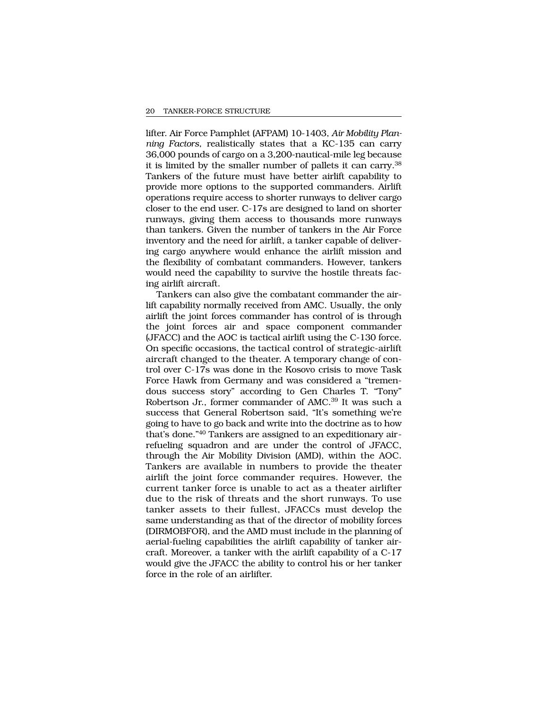lifter. Air Force Pamphlet (AFPAM) 10-1403, *Air Mobility Planning Factors*, realistically states that a KC-135 can carry 36,000 pounds of cargo on a 3,200-nautical-mile leg because it is limited by the smaller number of pallets it can carry.38 Tankers of the future must have better airlift capability to provide more options to the supported commanders. Airlift operations require access to shorter runways to deliver cargo closer to the end user. C-17s are designed to land on shorter runways, giving them access to thousands more runways than tankers. Given the number of tankers in the Air Force inventory and the need for airlift, a tanker capable of delivering cargo anywhere would enhance the airlift mission and the flexibility of combatant commanders. However, tankers would need the capability to survive the hostile threats facing airlift aircraft.

Tankers can also give the combatant commander the airlift capability normally received from AMC. Usually, the only airlift the joint forces commander has control of is through the joint forces air and space component commander (JFACC) and the AOC is tactical airlift using the C-130 force. On specific occasions, the tactical control of strategic-airlift aircraft changed to the theater. A temporary change of control over C-17s was done in the Kosovo crisis to move Task Force Hawk from Germany and was considered a "tremendous success story" according to Gen Charles T. "Tony" Robertson Jr., former commander of AMC.39 It was such a success that General Robertson said, "It's something we're going to have to go back and write into the doctrine as to how that's done."40 Tankers are assigned to an expeditionary airrefueling squadron and are under the control of JFACC, through the Air Mobility Division (AMD), within the AOC. Tankers are available in numbers to provide the theater airlift the joint force commander requires. However, the current tanker force is unable to act as a theater airlifter due to the risk of threats and the short runways. To use tanker assets to their fullest, JFACCs must develop the same understanding as that of the director of mobility forces (DIRMOBFOR), and the AMD must include in the planning of aerial-fueling capabilities the airlift capability of tanker aircraft. Moreover, a tanker with the airlift capability of a C-17 would give the JFACC the ability to control his or her tanker force in the role of an airlifter.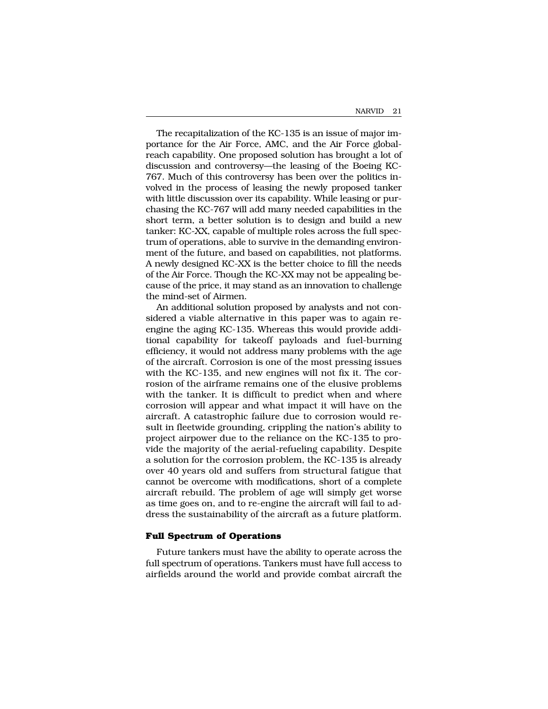The recapitalization of the KC-135 is an issue of major importance for the Air Force, AMC, and the Air Force globalreach capability. One proposed solution has brought a lot of discussion and controversy—the leasing of the Boeing KC-767. Much of this controversy has been over the politics involved in the process of leasing the newly proposed tanker with little discussion over its capability. While leasing or purchasing the KC-767 will add many needed capabilities in the short term, a better solution is to design and build a new tanker: KC-XX, capable of multiple roles across the full spectrum of operations, able to survive in the demanding environment of the future, and based on capabilities, not platforms. A newly designed KC-XX is the better choice to fill the needs of the Air Force. Though the KC-XX may not be appealing because of the price, it may stand as an innovation to challenge the mind-set of Airmen.

An additional solution proposed by analysts and not considered a viable alternative in this paper was to again reengine the aging KC-135. Whereas this would provide additional capability for takeoff payloads and fuel-burning efficiency, it would not address many problems with the age of the aircraft. Corrosion is one of the most pressing issues with the KC-135, and new engines will not fix it. The corrosion of the airframe remains one of the elusive problems with the tanker. It is difficult to predict when and where corrosion will appear and what impact it will have on the aircraft. A catastrophic failure due to corrosion would result in fleetwide grounding, crippling the nation's ability to project airpower due to the reliance on the KC-135 to provide the majority of the aerial-refueling capability. Despite a solution for the corrosion problem, the KC-135 is already over 40 years old and suffers from structural fatigue that cannot be overcome with modifications, short of a complete aircraft rebuild. The problem of age will simply get worse as time goes on, and to re-engine the aircraft will fail to address the sustainability of the aircraft as a future platform.

#### **Full Spectrum of Operations**

Future tankers must have the ability to operate across the full spectrum of operations. Tankers must have full access to airfields around the world and provide combat aircraft the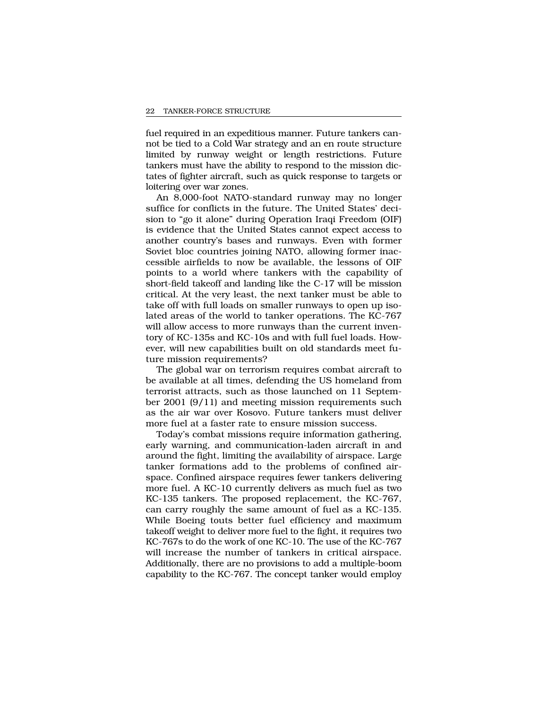fuel required in an expeditious manner. Future tankers cannot be tied to a Cold War strategy and an en route structure limited by runway weight or length restrictions. Future tankers must have the ability to respond to the mission dictates of fighter aircraft, such as quick response to targets or loitering over war zones.

An 8,000-foot NATO-standard runway may no longer suffice for conflicts in the future. The United States' decision to "go it alone" during Operation Iraqi Freedom (OIF) is evidence that the United States cannot expect access to another country's bases and runways. Even with former Soviet bloc countries joining NATO, allowing former inaccessible airfields to now be available, the lessons of OIF points to a world where tankers with the capability of short-field takeoff and landing like the C-17 will be mission critical. At the very least, the next tanker must be able to take off with full loads on smaller runways to open up isolated areas of the world to tanker operations. The KC-767 will allow access to more runways than the current inventory of KC-135s and KC-10s and with full fuel loads. However, will new capabilities built on old standards meet future mission requirements?

The global war on terrorism requires combat aircraft to be available at all times, defending the US homeland from terrorist attracts, such as those launched on 11 September 2001 (9/11) and meeting mission requirements such as the air war over Kosovo. Future tankers must deliver more fuel at a faster rate to ensure mission success.

Today's combat missions require information gathering, early warning, and communication-laden aircraft in and around the fight, limiting the availability of airspace. Large tanker formations add to the problems of confined airspace. Confined airspace requires fewer tankers delivering more fuel. A KC-10 currently delivers as much fuel as two KC-135 tankers. The proposed replacement, the KC-767, can carry roughly the same amount of fuel as a KC-135. While Boeing touts better fuel efficiency and maximum takeoff weight to deliver more fuel to the fight, it requires two KC-767s to do the work of one KC-10. The use of the KC-767 will increase the number of tankers in critical airspace. Additionally, there are no provisions to add a multiple-boom capability to the KC-767. The concept tanker would employ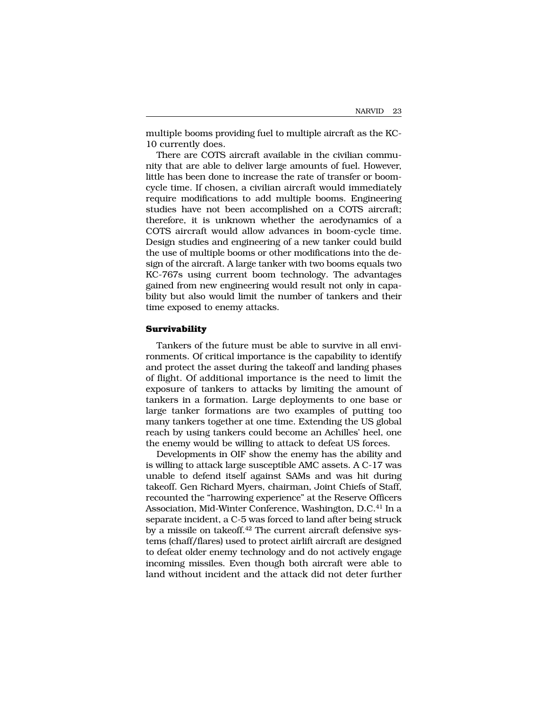multiple booms providing fuel to multiple aircraft as the KC-10 currently does.

There are COTS aircraft available in the civilian community that are able to deliver large amounts of fuel. However, little has been done to increase the rate of transfer or boomcycle time. If chosen, a civilian aircraft would immediately require modifications to add multiple booms. Engineering studies have not been accomplished on a COTS aircraft; therefore, it is unknown whether the aerodynamics of a COTS aircraft would allow advances in boom-cycle time. Design studies and engineering of a new tanker could build the use of multiple booms or other modifications into the design of the aircraft. A large tanker with two booms equals two KC-767s using current boom technology. The advantages gained from new engineering would result not only in capability but also would limit the number of tankers and their time exposed to enemy attacks.

### **Survivability**

Tankers of the future must be able to survive in all environments. Of critical importance is the capability to identify and protect the asset during the takeoff and landing phases of flight. Of additional importance is the need to limit the exposure of tankers to attacks by limiting the amount of tankers in a formation. Large deployments to one base or large tanker formations are two examples of putting too many tankers together at one time. Extending the US global reach by using tankers could become an Achilles' heel, one the enemy would be willing to attack to defeat US forces.

Developments in OIF show the enemy has the ability and is willing to attack large susceptible AMC assets. A C-17 was unable to defend itself against SAMs and was hit during takeoff. Gen Richard Myers, chairman, Joint Chiefs of Staff, recounted the "harrowing experience" at the Reserve Officers Association, Mid-Winter Conference, Washington, D.C.<sup>41</sup> In a separate incident, a C-5 was forced to land after being struck by a missile on takeoff.<sup>42</sup> The current aircraft defensive systems (chaff/flares) used to protect airlift aircraft are designed to defeat older enemy technology and do not actively engage incoming missiles. Even though both aircraft were able to land without incident and the attack did not deter further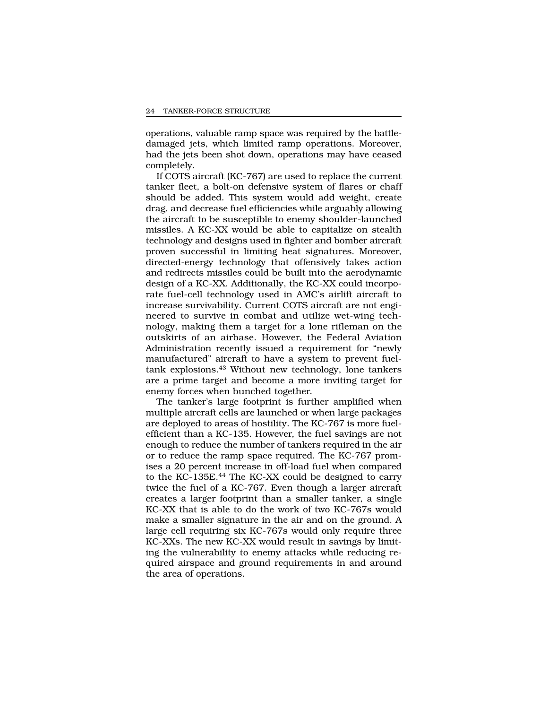operations, valuable ramp space was required by the battledamaged jets, which limited ramp operations. Moreover, had the jets been shot down, operations may have ceased completely.

If COTS aircraft (KC-767) are used to replace the current tanker fleet, a bolt-on defensive system of flares or chaff should be added. This system would add weight, create drag, and decrease fuel efficiencies while arguably allowing the aircraft to be susceptible to enemy shoulder-launched missiles. A KC-XX would be able to capitalize on stealth technology and designs used in fighter and bomber aircraft proven successful in limiting heat signatures. Moreover, directed-energy technology that offensively takes action and redirects missiles could be built into the aerodynamic design of a KC-XX. Additionally, the KC-XX could incorporate fuel-cell technology used in AMC's airlift aircraft to increase survivability. Current COTS aircraft are not engineered to survive in combat and utilize wet-wing technology, making them a target for a lone rifleman on the outskirts of an airbase. However, the Federal Aviation Administration recently issued a requirement for "newly manufactured" aircraft to have a system to prevent fueltank explosions.43 Without new technology, lone tankers are a prime target and become a more inviting target for enemy forces when bunched together.

The tanker's large footprint is further amplified when multiple aircraft cells are launched or when large packages are deployed to areas of hostility. The KC-767 is more fuelefficient than a KC-135. However, the fuel savings are not enough to reduce the number of tankers required in the air or to reduce the ramp space required. The KC-767 promises a 20 percent increase in off-load fuel when compared to the KC-135E.44 The KC-XX could be designed to carry twice the fuel of a KC-767. Even though a larger aircraft creates a larger footprint than a smaller tanker, a single KC-XX that is able to do the work of two KC-767s would make a smaller signature in the air and on the ground. A large cell requiring six KC-767s would only require three KC-XXs. The new KC-XX would result in savings by limiting the vulnerability to enemy attacks while reducing required airspace and ground requirements in and around the area of operations.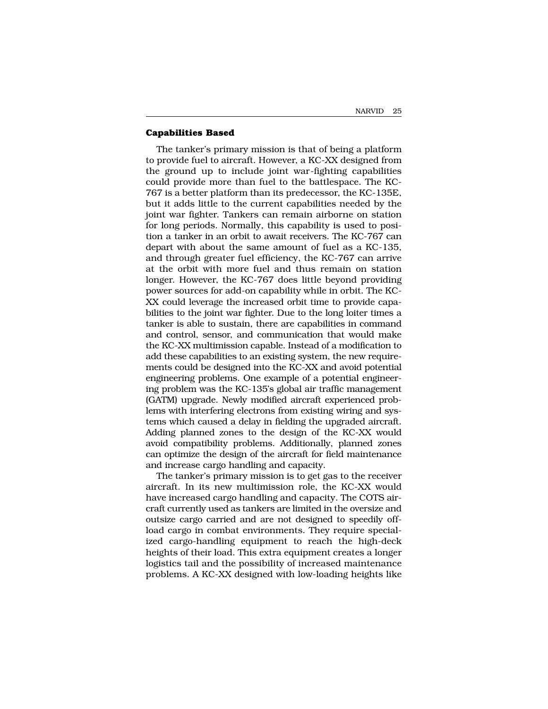### **Capabilities Based**

The tanker's primary mission is that of being a platform to provide fuel to aircraft. However, a KC-XX designed from the ground up to include joint war-fighting capabilities could provide more than fuel to the battlespace. The KC-767 is a better platform than its predecessor, the KC-135E, but it adds little to the current capabilities needed by the joint war fighter. Tankers can remain airborne on station for long periods. Normally, this capability is used to position a tanker in an orbit to await receivers. The KC-767 can depart with about the same amount of fuel as a KC-135, and through greater fuel efficiency, the KC-767 can arrive at the orbit with more fuel and thus remain on station longer. However, the KC-767 does little beyond providing power sources for add-on capability while in orbit. The KC-XX could leverage the increased orbit time to provide capabilities to the joint war fighter. Due to the long loiter times a tanker is able to sustain, there are capabilities in command and control, sensor, and communication that would make the KC-XX multimission capable. Instead of a modification to add these capabilities to an existing system, the new requirements could be designed into the KC-XX and avoid potential engineering problems. One example of a potential engineering problem was the KC-135's global air traffic management (GATM) upgrade. Newly modified aircraft experienced problems with interfering electrons from existing wiring and systems which caused a delay in fielding the upgraded aircraft. Adding planned zones to the design of the KC-XX would avoid compatibility problems. Additionally, planned zones can optimize the design of the aircraft for field maintenance and increase cargo handling and capacity.

The tanker's primary mission is to get gas to the receiver aircraft. In its new multimission role, the KC-XX would have increased cargo handling and capacity. The COTS aircraft currently used as tankers are limited in the oversize and outsize cargo carried and are not designed to speedily offload cargo in combat environments. They require specialized cargo-handling equipment to reach the high-deck heights of their load. This extra equipment creates a longer logistics tail and the possibility of increased maintenance problems. A KC-XX designed with low-loading heights like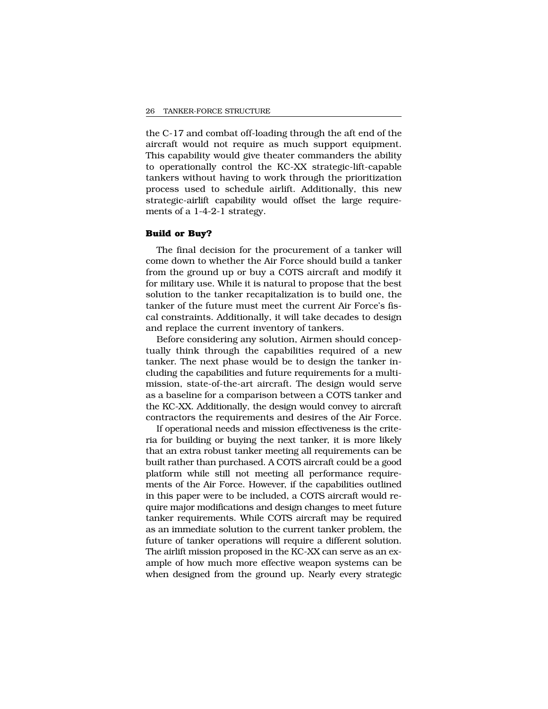the C-17 and combat off-loading through the aft end of the aircraft would not require as much support equipment. This capability would give theater commanders the ability to operationally control the KC-XX strategic-lift-capable tankers without having to work through the prioritization process used to schedule airlift. Additionally, this new strategic-airlift capability would offset the large requirements of a 1-4-2-1 strategy.

#### **Build or Buy?**

The final decision for the procurement of a tanker will come down to whether the Air Force should build a tanker from the ground up or buy a COTS aircraft and modify it for military use. While it is natural to propose that the best solution to the tanker recapitalization is to build one, the tanker of the future must meet the current Air Force's fiscal constraints. Additionally, it will take decades to design and replace the current inventory of tankers.

Before considering any solution, Airmen should conceptually think through the capabilities required of a new tanker. The next phase would be to design the tanker including the capabilities and future requirements for a multimission, state-of-the-art aircraft. The design would serve as a baseline for a comparison between a COTS tanker and the KC-XX. Additionally, the design would convey to aircraft contractors the requirements and desires of the Air Force.

If operational needs and mission effectiveness is the criteria for building or buying the next tanker, it is more likely that an extra robust tanker meeting all requirements can be built rather than purchased. A COTS aircraft could be a good platform while still not meeting all performance requirements of the Air Force. However, if the capabilities outlined in this paper were to be included, a COTS aircraft would require major modifications and design changes to meet future tanker requirements. While COTS aircraft may be required as an immediate solution to the current tanker problem, the future of tanker operations will require a different solution. The airlift mission proposed in the KC-XX can serve as an example of how much more effective weapon systems can be when designed from the ground up. Nearly every strategic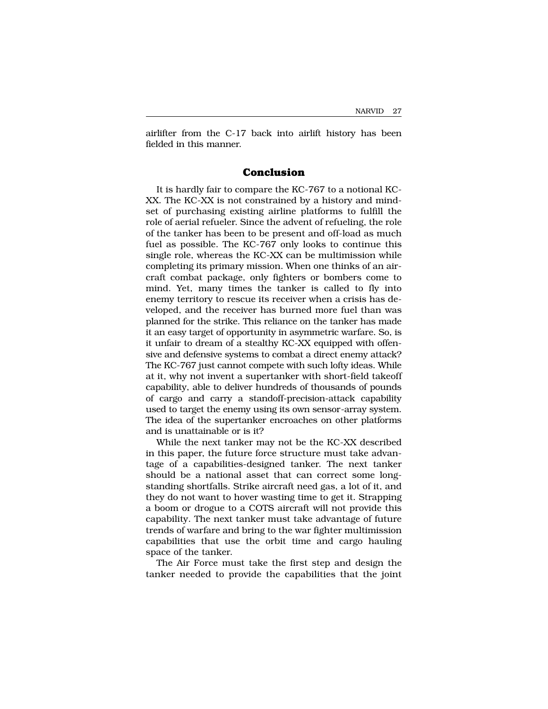airlifter from the C-17 back into airlift history has been fielded in this manner.

## **Conclusion**

It is hardly fair to compare the KC-767 to a notional KC-XX. The KC-XX is not constrained by a history and mindset of purchasing existing airline platforms to fulfill the role of aerial refueler. Since the advent of refueling, the role of the tanker has been to be present and off-load as much fuel as possible. The KC-767 only looks to continue this single role, whereas the KC-XX can be multimission while completing its primary mission. When one thinks of an aircraft combat package, only fighters or bombers come to mind. Yet, many times the tanker is called to fly into enemy territory to rescue its receiver when a crisis has developed, and the receiver has burned more fuel than was planned for the strike. This reliance on the tanker has made it an easy target of opportunity in asymmetric warfare. So, is it unfair to dream of a stealthy KC-XX equipped with offensive and defensive systems to combat a direct enemy attack? The KC-767 just cannot compete with such lofty ideas. While at it, why not invent a supertanker with short-field takeoff capability, able to deliver hundreds of thousands of pounds of cargo and carry a standoff-precision-attack capability used to target the enemy using its own sensor-array system. The idea of the supertanker encroaches on other platforms and is unattainable or is it?

While the next tanker may not be the KC-XX described in this paper, the future force structure must take advantage of a capabilities-designed tanker. The next tanker should be a national asset that can correct some longstanding shortfalls. Strike aircraft need gas, a lot of it, and they do not want to hover wasting time to get it. Strapping a boom or drogue to a COTS aircraft will not provide this capability. The next tanker must take advantage of future trends of warfare and bring to the war fighter multimission capabilities that use the orbit time and cargo hauling space of the tanker.

The Air Force must take the first step and design the tanker needed to provide the capabilities that the joint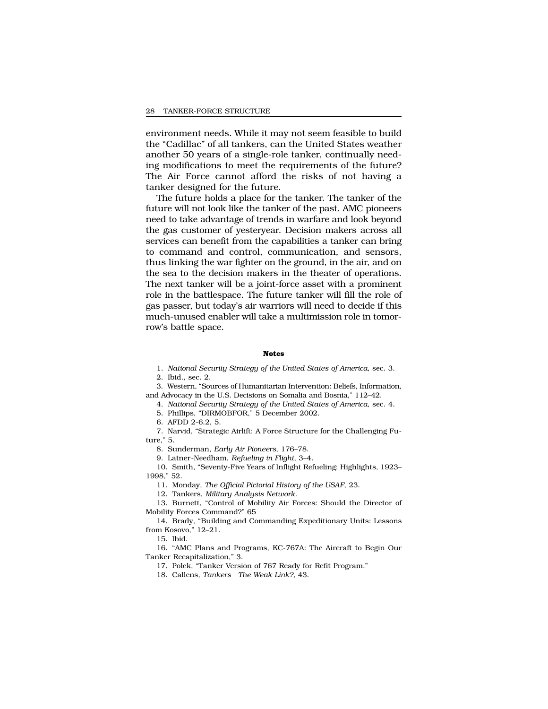environment needs. While it may not seem feasible to build the "Cadillac" of all tankers, can the United States weather another 50 years of a single-role tanker, continually needing modifications to meet the requirements of the future? The Air Force cannot afford the risks of not having a tanker designed for the future.

The future holds a place for the tanker. The tanker of the future will not look like the tanker of the past. AMC pioneers need to take advantage of trends in warfare and look beyond the gas customer of yesteryear. Decision makers across all services can benefit from the capabilities a tanker can bring to command and control, communication, and sensors, thus linking the war fighter on the ground, in the air, and on the sea to the decision makers in the theater of operations. The next tanker will be a joint-force asset with a prominent role in the battlespace. The future tanker will fill the role of gas passer, but today's air warriors will need to decide if this much-unused enabler will take a multimission role in tomorrow's battle space.

#### **Notes**

1. *National Security Strategy of the United States of America*, sec. 3. 2. Ibid., sec. 2.

3. Western, "Sources of Humanitarian Intervention: Beliefs, Information, and Advocacy in the U.S. Decisions on Somalia and Bosnia," 112–42.

4. *National Security Strategy of the United States of America*, sec. 4.

5. Phillips, "DIRMOBFOR," 5 December 2002.

6. AFDD 2-6.2, 5.

7. Narvid, "Strategic Airlift: A Force Structure for the Challenging Future," 5.

8. Sunderman, *Early Air Pioneers*, 176–78.

9. Latner-Needham, *Refueling in Flight*, 3–4.

10. Smith, "Seventy-Five Years of Inflight Refueling: Highlights, 1923– 1998," 52.

11. Monday, *The Official Pictorial History of the USAF*, 23.

12. Tankers, *Military Analysis Network*.

13. Burnett, "Control of Mobility Air Forces: Should the Director of Mobility Forces Command?" 65

14. Brady, "Building and Commanding Expeditionary Units: Lessons from Kosovo," 12–21.

15. Ibid.

16. "AMC Plans and Programs, KC-767A: The Aircraft to Begin Our Tanker Recapitalization," 3.

17. Polek, "Tanker Version of 767 Ready for Refit Program."

18. Callens, *Tankers—The Weak Link?*, 43.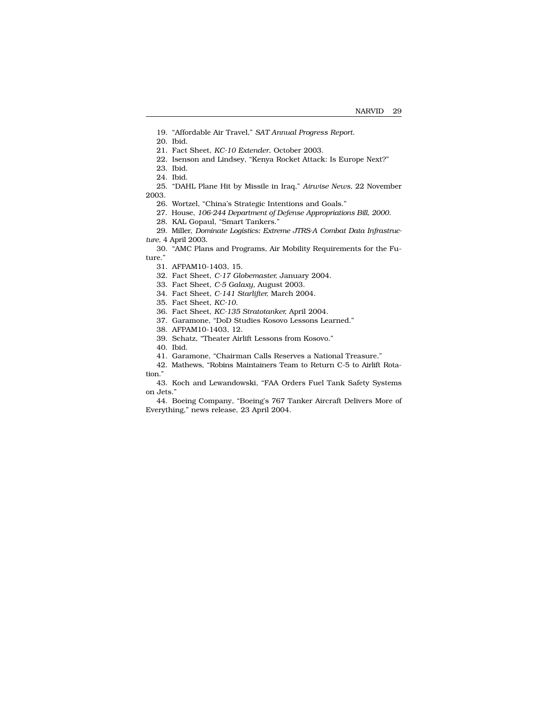19. "Affordable Air Travel," *SAT Annual Progress Report*.

20. Ibid.

21. Fact Sheet, *KC-10 Extender*, October 2003.

22. Isenson and Lindsey, "Kenya Rocket Attack: Is Europe Next?"

23. Ibid.

24. Ibid.

25. "DAHL Plane Hit by Missile in Iraq," *Airwise News,* 22 November 2003.

26. Wortzel, "China's Strategic Intentions and Goals."

27. House, *106-244 Department of Defense Appropriations Bill, 2000*.

28. KAL Gopaul, "Smart Tankers."

29. Miller, *Dominate Logistics: Extreme JTRS-A Combat Data Infrastructure,* 4 April 2003.

30. "AMC Plans and Programs, Air Mobility Requirements for the Future."

31. AFPAM10-1403, 15.

32. Fact Sheet, *C-17 Globemaster,* January 2004.

33. Fact Sheet, *C-5 Galaxy,* August 2003.

34. Fact Sheet, *C-141 Starlifter,* March 2004.

35. Fact Sheet, *KC-10*.

36. Fact Sheet, *KC-135 Stratotanker,* April 2004.

37. Garamone, "DoD Studies Kosovo Lessons Learned."

38. AFPAM10-1403, 12.

39. Schatz, "Theater Airlift Lessons from Kosovo."

40. Ibid.

41. Garamone, "Chairman Calls Reserves a National Treasure."

42. Mathews, "Robins Maintainers Team to Return C-5 to Airlift Rotation."

43. Koch and Lewandowski, "FAA Orders Fuel Tank Safety Systems on Jets."

44. Boeing Company, "Boeing's 767 Tanker Aircraft Delivers More of Everything," news release, 23 April 2004.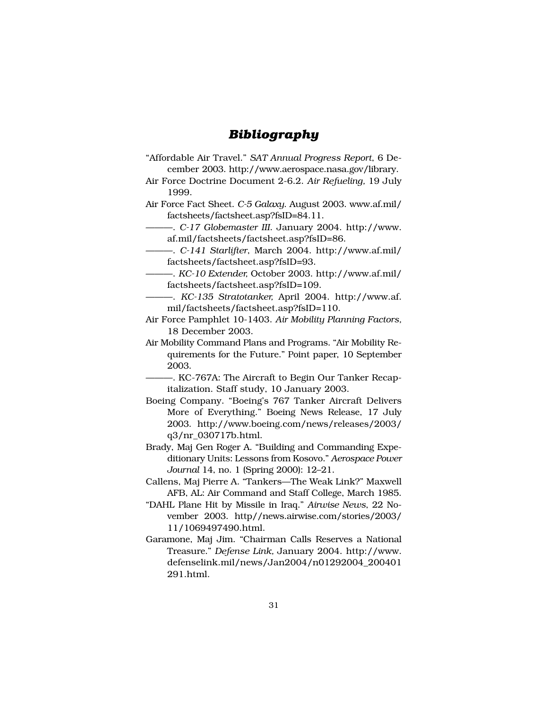## *Bibliography*

- "Affordable Air Travel." *SAT Annual Progress Report*, 6 December 2003. http://www.aerospace.nasa.gov/library.
- Air Force Doctrine Document 2-6.2. *Air Refueling,* 19 July 1999.
- Air Force Fact Sheet. *C-5 Galaxy*. August 2003. www.af.mil/ factsheets/factsheet.asp?fsID=84.11.
	- ———. *C-17 Globemaster III*. January 2004. http://www. af.mil/factsheets/factsheet.asp?fsID=86.
	- ———. *C-141 Starlifter*, March 2004. http://www.af.mil/ factsheets/factsheet.asp?fsID=93.
	- ———. *KC-10 Extender,* October 2003. http://www.af.mil/ factsheets/factsheet.asp?fsID=109.
- ———. *KC-135 Stratotanker,* April 2004. http://www.af. mil/factsheets/factsheet.asp?fsID=110.
- Air Force Pamphlet 10-1403. *Air Mobility Planning Factors,* 18 December 2003.
- Air Mobility Command Plans and Programs. "Air Mobility Requirements for the Future." Point paper, 10 September 2003.
	- ———. KC-767A: The Aircraft to Begin Our Tanker Recapitalization. Staff study, 10 January 2003.
- Boeing Company. "Boeing's 767 Tanker Aircraft Delivers More of Everything." Boeing News Release, 17 July 2003. http://www.boeing.com/news/releases/2003/ q3/nr\_030717b.html.
- Brady, Maj Gen Roger A. "Building and Commanding Expeditionary Units: Lessons from Kosovo." *Aerospace Power Journal* 14, no. 1 (Spring 2000): 12–21.
- Callens, Maj Pierre A. "Tankers—The Weak Link?" Maxwell AFB, AL: Air Command and Staff College, March 1985.
- "DAHL Plane Hit by Missile in Iraq." *Airwise News*, 22 November 2003. http//news.airwise.com/stories/2003/ 11/1069497490.html.
- Garamone, Maj Jim. "Chairman Calls Reserves a National Treasure." *Defense Link,* January 2004. http://www. defenselink.mil/news/Jan2004/n01292004\_200401 291.html.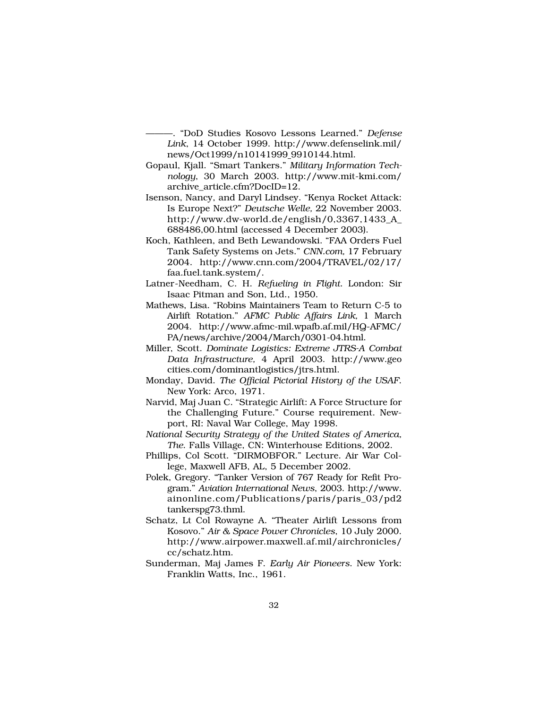———. "DoD Studies Kosovo Lessons Learned." *Defense Link*, 14 October 1999. http://www.defenselink.mil/ news/Oct1999/n10141999 9910144.html.

- Gopaul, Kjall. "Smart Tankers." *Military Information Technology*, 30 March 2003. http://www.mit-kmi.com/ archive\_article.cfm?DocID=12.
- Isenson, Nancy, and Daryl Lindsey. "Kenya Rocket Attack: Is Europe Next?" *Deutsche Welle,* 22 November 2003. http://www.dw-world.de/english/0,3367,1433\_A\_ 688486,00.html (accessed 4 December 2003).
- Koch, Kathleen, and Beth Lewandowski. "FAA Orders Fuel Tank Safety Systems on Jets." *CNN.com,* 17 February 2004. http://www.cnn.com/2004/TRAVEL/02/17/ faa.fuel.tank.system/.
- Latner-Needham, C. H. *Refueling in Flight*. London: Sir Isaac Pitman and Son, Ltd., 1950.
- Mathews, Lisa. "Robins Maintainers Team to Return C-5 to Airlift Rotation." *AFMC Public Affairs Link,* 1 March 2004. http://www.afmc-mil.wpafb.af.mil/HQ-AFMC/ PA/news/archive/2004/March/0301-04.html.
- Miller, Scott. *Dominate Logistics: Extreme JTRS-A Combat Data Infrastructure,* 4 April 2003. http://www.geo cities.com/dominantlogistics/jtrs.html.
- Monday, David. *The Official Pictorial History of the USAF*. New York: Arco, 1971.
- Narvid, Maj Juan C. "Strategic Airlift: A Force Structure for the Challenging Future." Course requirement. Newport, RI: Naval War College, May 1998.
- *National Security Strategy of the United States of America, The*. Falls Village, CN: Winterhouse Editions, 2002.
- Phillips, Col Scott. "DIRMOBFOR." Lecture. Air War College, Maxwell AFB, AL, 5 December 2002.
- Polek, Gregory. "Tanker Version of 767 Ready for Refit Program." *Aviation International News*, 2003. http://www. ainonline.com/Publications/paris/paris\_03/pd2 tankerspg73.thml.
- Schatz, Lt Col Rowayne A. "Theater Airlift Lessons from Kosovo." *Air & Space Power Chronicles*, 10 July 2000. http://www.airpower.maxwell.af.mil/airchronicles/ cc/schatz.htm.
- Sunderman, Maj James F. *Early Air Pioneers*. New York: Franklin Watts, Inc., 1961.